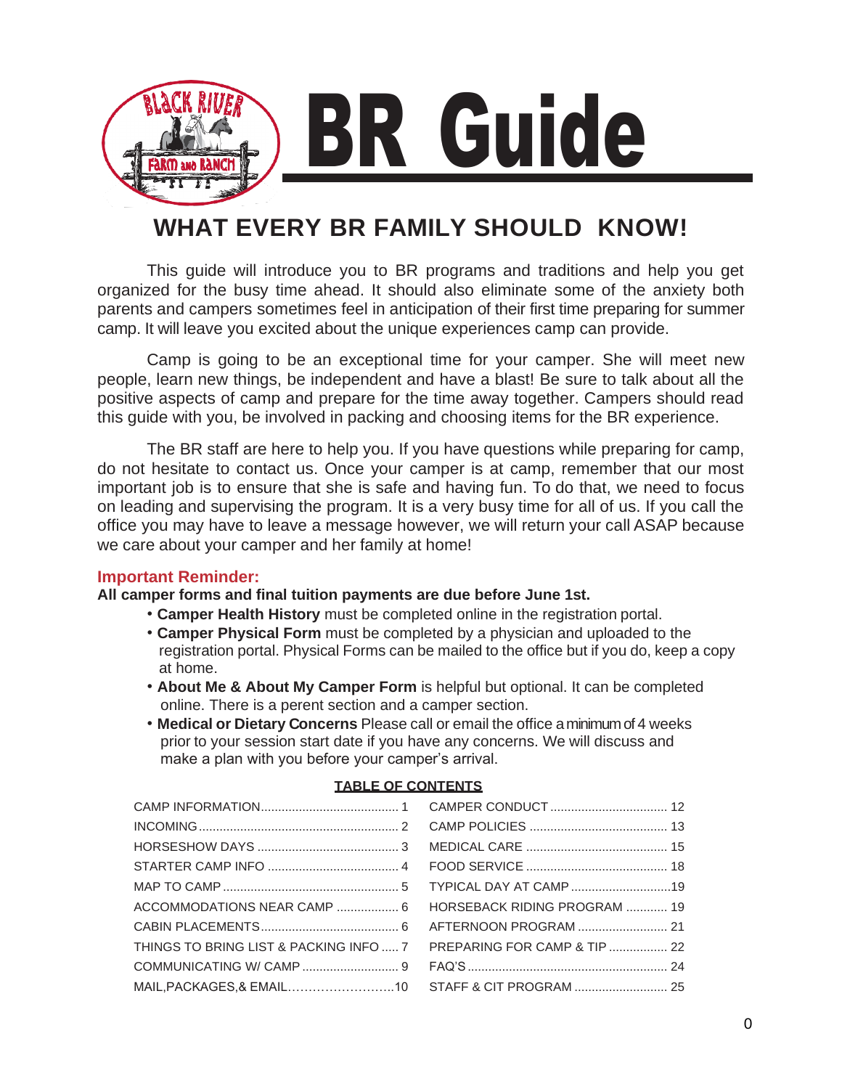

# **WHAT EVERY BR FAMILY SHOULD KNOW!**

This guide will introduce you to BR programs and traditions and help you get organized for the busy time ahead. It should also eliminate some of the anxiety both parents and campers sometimes feel in anticipation of their first time preparing for summer camp. It will leave you excited about the unique experiences camp can provide.

Camp is going to be an exceptional time for your camper. She will meet new people, learn new things, be independent and have a blast! Be sure to talk about all the positive aspects of camp and prepare for the time away together. Campers should read this guide with you, be involved in packing and choosing items for the BR experience.

The BR staff are here to help you. If you have questions while preparing for camp, do not hesitate to contact us. Once your camper is at camp, remember that our most important job is to ensure that she is safe and having fun. To do that, we need to focus on leading and supervising the program. It is a very busy time for all of us. If you call the office you may have to leave a message however, we will return your call ASAP because we care about your camper and her family at home!

#### **Important Reminder:**

**All camper forms and final tuition payments are due before June 1st.**

- **Camper Health History** must be completed online in the registration portal.
- **Camper Physical Form** must be completed by a physician and uploaded to the registration portal. Physical Forms can be mailed to the office but if you do, keep a copy at home.
- **About Me & About My Camper Form** is helpful but optional. It can be completed online. There is a perent section and a camper section.
- **Medical or Dietary Concerns** Please call or email the office a minimum of 4 weeks prior to your session start date if you have any concerns. We will discuss and make a plan with you before your camper's arrival.

#### **TABLE OF CONTENTS**

| THINGS TO BRING LIST & PACKING INFO  7 PREPARING FOR CAMP & TIP  22 |  |
|---------------------------------------------------------------------|--|
|                                                                     |  |
|                                                                     |  |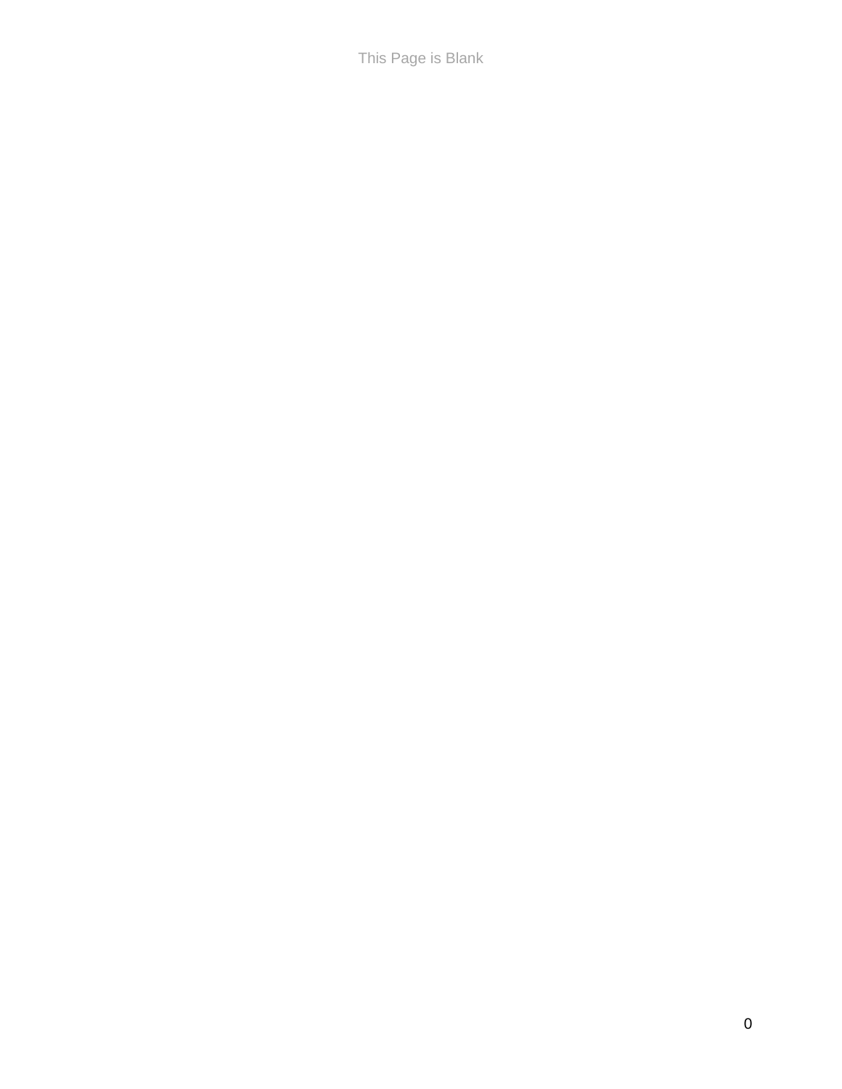This Page is Blank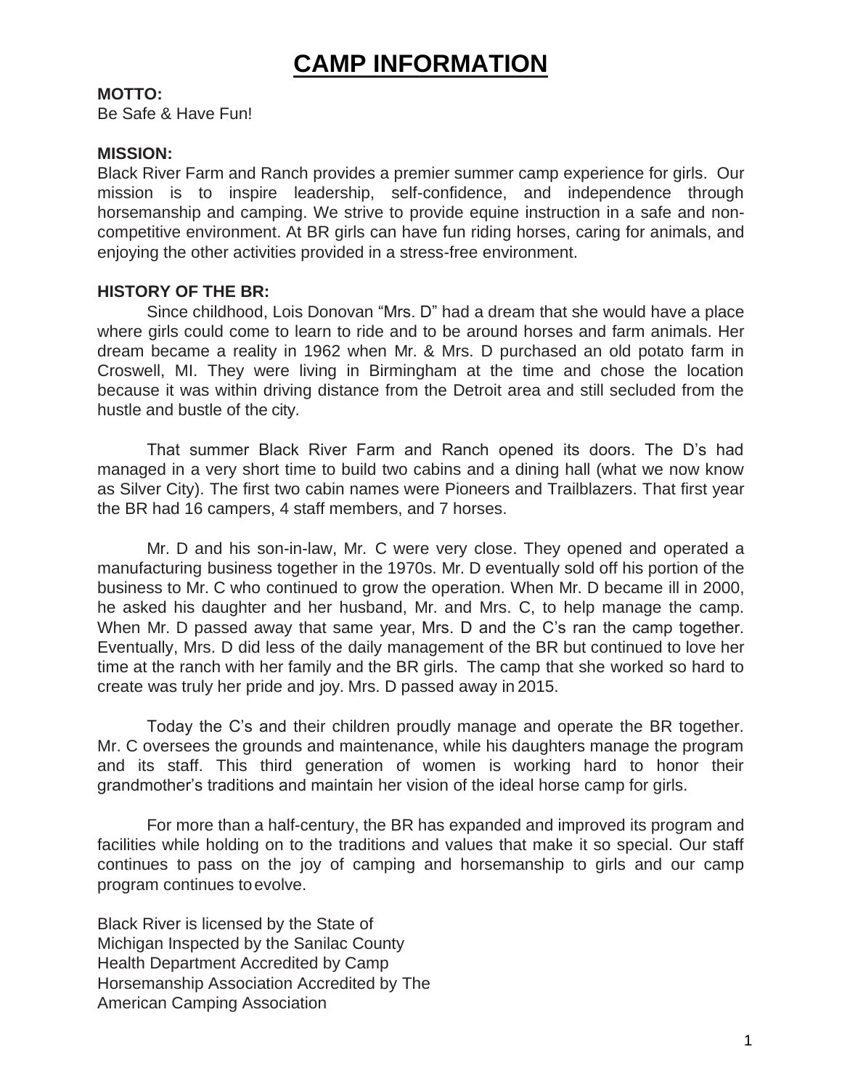## **CAMP INFORMATION**

#### **MOTTO:**

Be Safe & Have Fun!

#### **MISSION:**

Black River Farm and Ranch provides a premier summer camp experience for girls. Our mission is to inspire leadership, self-confidence, and independence through horsemanship and camping. We strive to provide equine instruction in a safe and noncompetitive environment. At BR girls can have fun riding horses, caring for animals, and enjoying the other activities provided in a stress-free environment.

#### **HISTORY OF THE BR:**

Since childhood, Lois Donovan "Mrs. D" had a dream that she would have a place where girls could come to learn to ride and to be around horses and farm animals. Her dream became a reality in 1962 when Mr. & Mrs. D purchased an old potato farm in Croswell, MI. They were living in Birmingham at the time and chose the location because it was within driving distance from the Detroit area and still secluded from the hustle and bustle of the city.

That summer Black River Farm and Ranch opened its doors. The D's had managed in a very short time to build two cabins and a dining hall (what we now know as Silver City). The first two cabin names were Pioneers and Trailblazers. That first year the BR had 16 campers, 4 staff members, and 7 horses.

Mr. D and his son-in-law, Mr. C were very close. They opened and operated a manufacturing business together in the 1970s. Mr. D eventually sold off his portion of the business to Mr. C who continued to grow the operation. When Mr. D became ill in 2000, he asked his daughter and her husband, Mr. and Mrs. C, to help manage the camp. When Mr. D passed away that same year, Mrs. D and the C's ran the camp together. Eventually, Mrs. D did less of the daily management of the BR but continued to love her time at the ranch with her family and the BR girls. The camp that she worked so hard to create was truly her pride and joy. Mrs. D passed away in 2015.

Today the C's and their children proudly manage and operate the BR together. Mr. C oversees the grounds and maintenance, while his daughters manage the program and its staff. This third generation of women is working hard to honor their grandmother's traditions and maintain her vision of the ideal horse camp for girls.

For more than a half-century, the BR has expanded and improved its program and facilities while holding on to the traditions and values that make it so special. Our staff continues to pass on the joy of camping and horsemanship to girls and our camp program continues toevolve.

Black River is licensed by the State of Michigan Inspected by the Sanilac County Health Department Accredited by Camp Horsemanship Association Accredited by The American Camping Association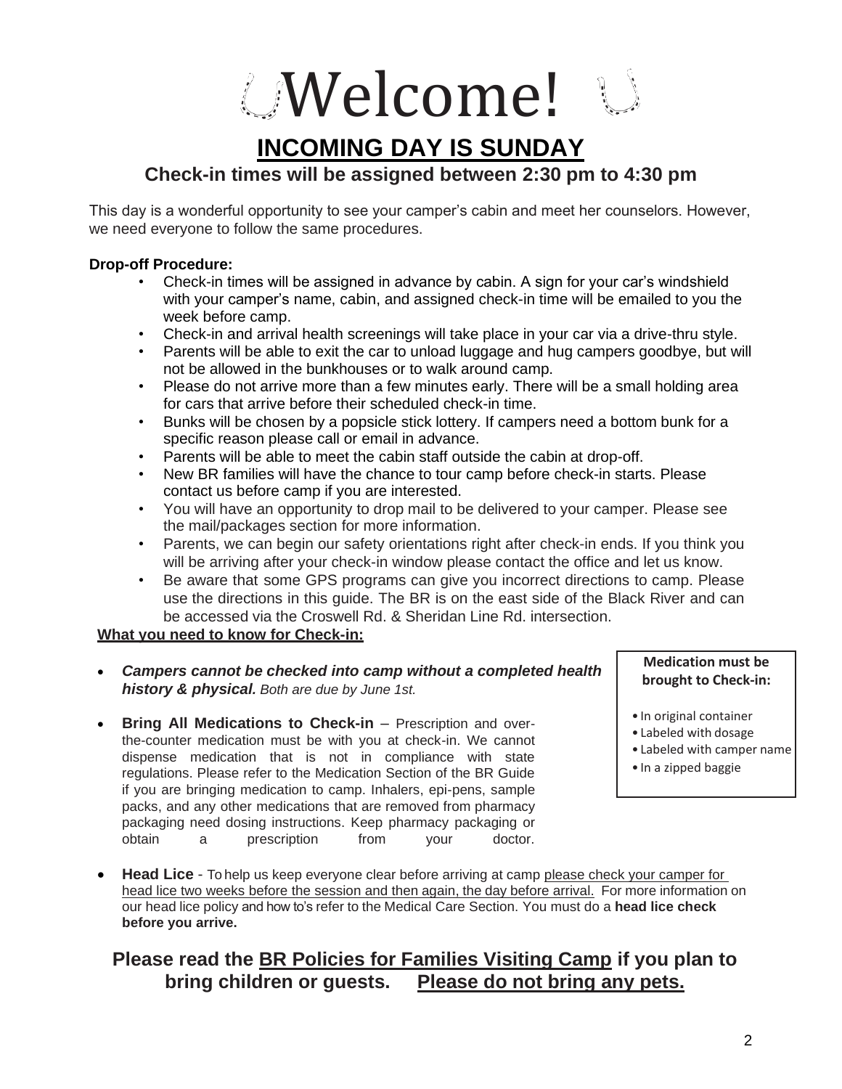Welcome!

## **INCOMING DAY IS SUNDAY**

### **Check-in times will be assigned between 2:30 pm to 4:30 pm**

This day is a wonderful opportunity to see your camper's cabin and meet her counselors. However, we need everyone to follow the same procedures.

#### **Drop-off Procedure:**

- Check-in times will be assigned in advance by cabin. A sign for your car's windshield with your camper's name, cabin, and assigned check-in time will be emailed to you the week before camp.
- Check-in and arrival health screenings will take place in your car via a drive-thru style.
- Parents will be able to exit the car to unload luggage and hug campers goodbye, but will not be allowed in the bunkhouses or to walk around camp.
- Please do not arrive more than a few minutes early. There will be a small holding area for cars that arrive before their scheduled check-in time.
- Bunks will be chosen by a popsicle stick lottery. If campers need a bottom bunk for a specific reason please call or email in advance.
- Parents will be able to meet the cabin staff outside the cabin at drop-off.
- New BR families will have the chance to tour camp before check-in starts. Please contact us before camp if you are interested.
- You will have an opportunity to drop mail to be delivered to your camper. Please see the mail/packages section for more information.
- Parents, we can begin our safety orientations right after check-in ends. If you think you will be arriving after your check-in window please contact the office and let us know.
- Be aware that some GPS programs can give you incorrect directions to camp. Please use the directions in this guide. The BR is on the east side of the Black River and can be accessed via the Croswell Rd. & Sheridan Line Rd. intersection.

#### **What you need to know for Check-in:**

- *Campers cannot be checked into camp without a completed health history & physical. Both are due by June 1st.*
- **Bring All Medications to Check-in** Prescription and overthe-counter medication must be with you at check-in. We cannot dispense medication that is not in compliance with state regulations. Please refer to the Medication Section of the BR Guide if you are bringing medication to camp. Inhalers, epi-pens, sample packs, and any other medications that are removed from pharmacy packaging need dosing instructions. Keep pharmacy packaging or obtain a prescription from your doctor.

#### **Medication must be brought to Check-in:**

- In original container
- Labeled with dosage
- Labeled with camper name
- In a zipped baggie
- **Head Lice** To help us keep everyone clear before arriving at camp please check your camper for head lice two weeks before the session and then again, the day before arrival. For more information on our head lice policy and how to's refer to the Medical Care Section. You must do a **head lice check before you arrive.**

### **Please read the BR Policies for Families Visiting Camp if you plan to bring children or guests. Please do not bring any pets.**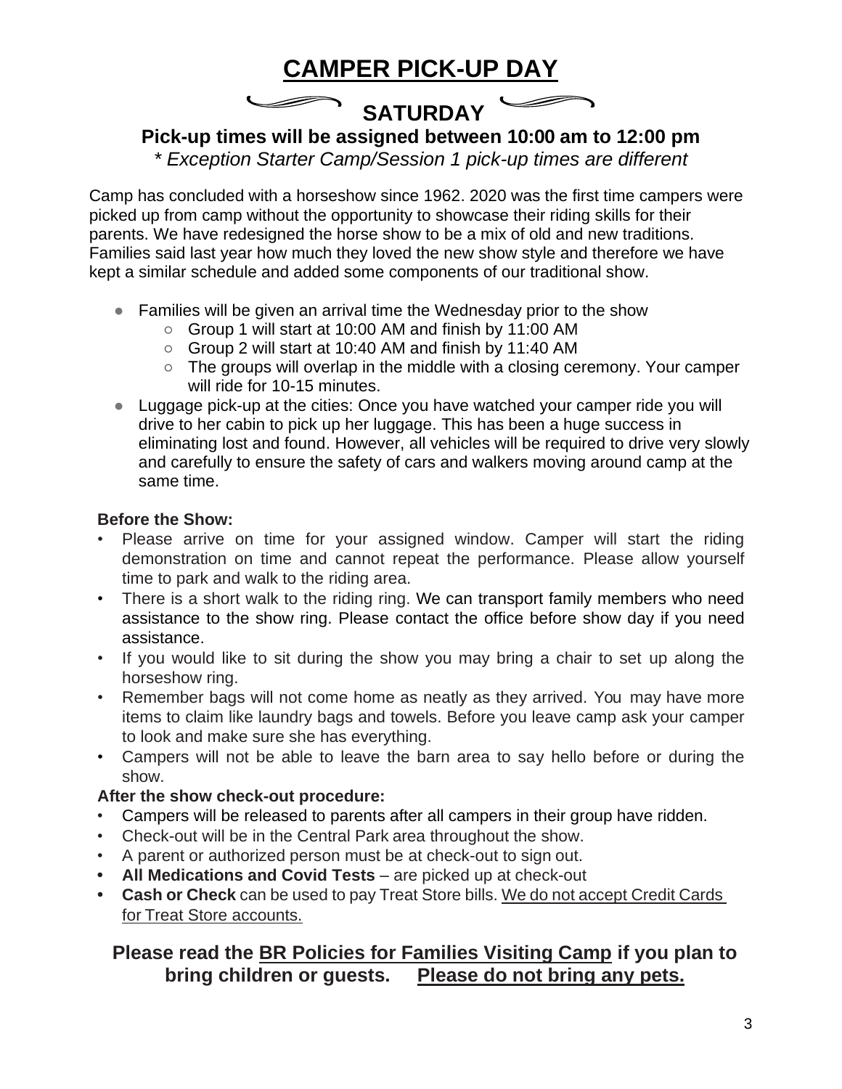# **CAMPER PICK-UP DAY**

## **SATURDAY**

### **Pick-up times will be assigned between 10:00 am to 12:00 pm**

*\* Exception Starter Camp/Session 1 pick-up times are different*

Camp has concluded with a horseshow since 1962. 2020 was the first time campers were picked up from camp without the opportunity to showcase their riding skills for their parents. We have redesigned the horse show to be a mix of old and new traditions. Families said last year how much they loved the new show style and therefore we have kept a similar schedule and added some components of our traditional show.

- Families will be given an arrival time the Wednesday prior to the show
	- Group 1 will start at 10:00 AM and finish by 11:00 AM
	- Group 2 will start at 10:40 AM and finish by 11:40 AM
	- $\circ$  The groups will overlap in the middle with a closing ceremony. Your camper will ride for 10-15 minutes.
- Luggage pick-up at the cities: Once you have watched your camper ride you will drive to her cabin to pick up her luggage. This has been a huge success in eliminating lost and found. However, all vehicles will be required to drive very slowly and carefully to ensure the safety of cars and walkers moving around camp at the same time.

### **Before the Show:**

- Please arrive on time for your assigned window. Camper will start the riding demonstration on time and cannot repeat the performance. Please allow yourself time to park and walk to the riding area.
- There is a short walk to the riding ring. We can transport family members who need assistance to the show ring. Please contact the office before show day if you need assistance.
- If you would like to sit during the show you may bring a chair to set up along the horseshow ring.
- Remember bags will not come home as neatly as they arrived. You may have more items to claim like laundry bags and towels. Before you leave camp ask your camper to look and make sure she has everything.
- Campers will not be able to leave the barn area to say hello before or during the show.

#### **After the show check-out procedure:**

- Campers will be released to parents after all campers in their group have ridden.
- Check-out will be in the Central Park area throughout the show.
- A parent or authorized person must be at check-out to sign out.
- **• All Medications and Covid Tests** are picked up at check-out
- **• Cash or Check** can be used to pay Treat Store bills. We do not accept Credit Cards for Treat Store accounts.

### **Please read the BR Policies for Families Visiting Camp if you plan to bring children or guests. Please do not bring any pets.**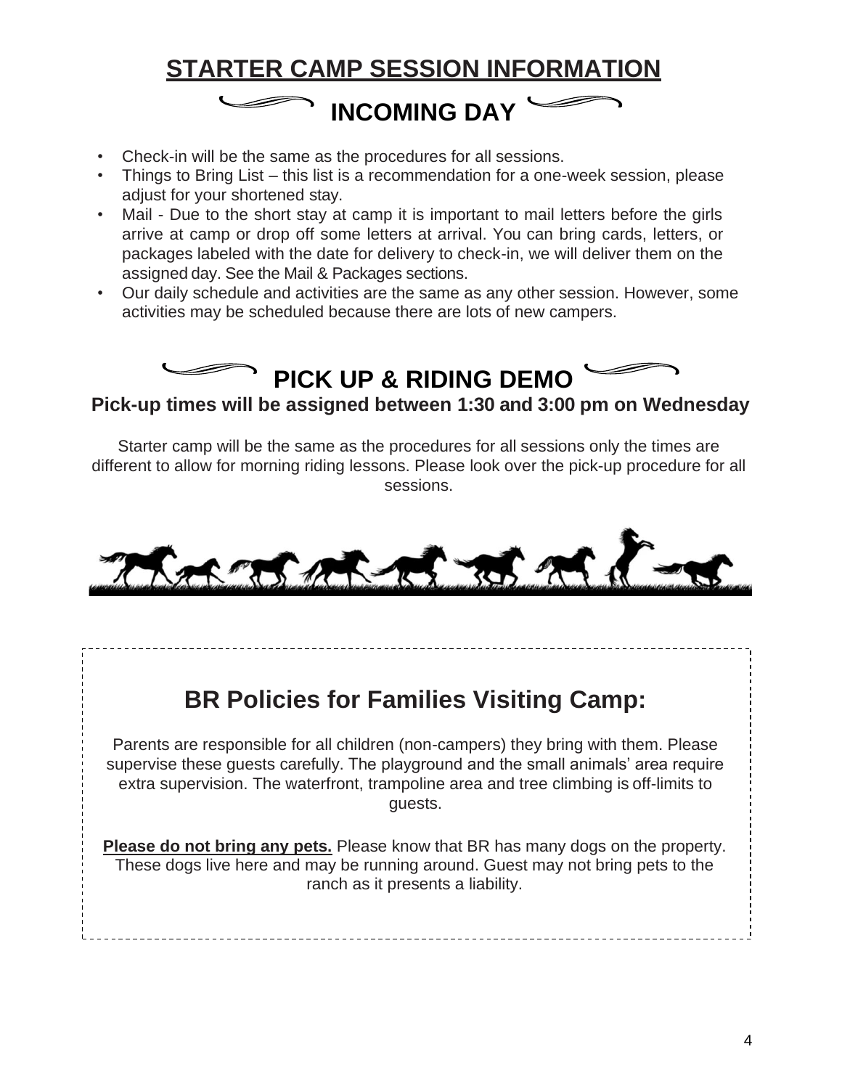## **STARTER CAMP SESSION INFORMATION**

# **INCOMING DAY**

- Check-in will be the same as the procedures for all sessions.
- Things to Bring List this list is a recommendation for a one-week session, please adjust for your shortened stay.
- Mail Due to the short stay at camp it is important to mail letters before the girls arrive at camp or drop off some letters at arrival. You can bring cards, letters, or packages labeled with the date for delivery to check-in, we will deliver them on the assigned day. See the Mail & Packages sections.
- Our daily schedule and activities are the same as any other session. However, some activities may be scheduled because there are lots of new campers.



**Pick-up times will be assigned between 1:30 and 3:00 pm on Wednesday**

Starter camp will be the same as the procedures for all sessions only the times are different to allow for morning riding lessons. Please look over the pick-up procedure for all sessions.



# **BR Policies for Families Visiting Camp:**

Parents are responsible for all children (non-campers) they bring with them. Please supervise these guests carefully. The playground and the small animals' area require extra supervision. The waterfront, trampoline area and tree climbing is off-limits to guests.

**Please do not bring any pets.** Please know that BR has many dogs on the property. These dogs live here and may be running around. Guest may not bring pets to the ranch as it presents a liability.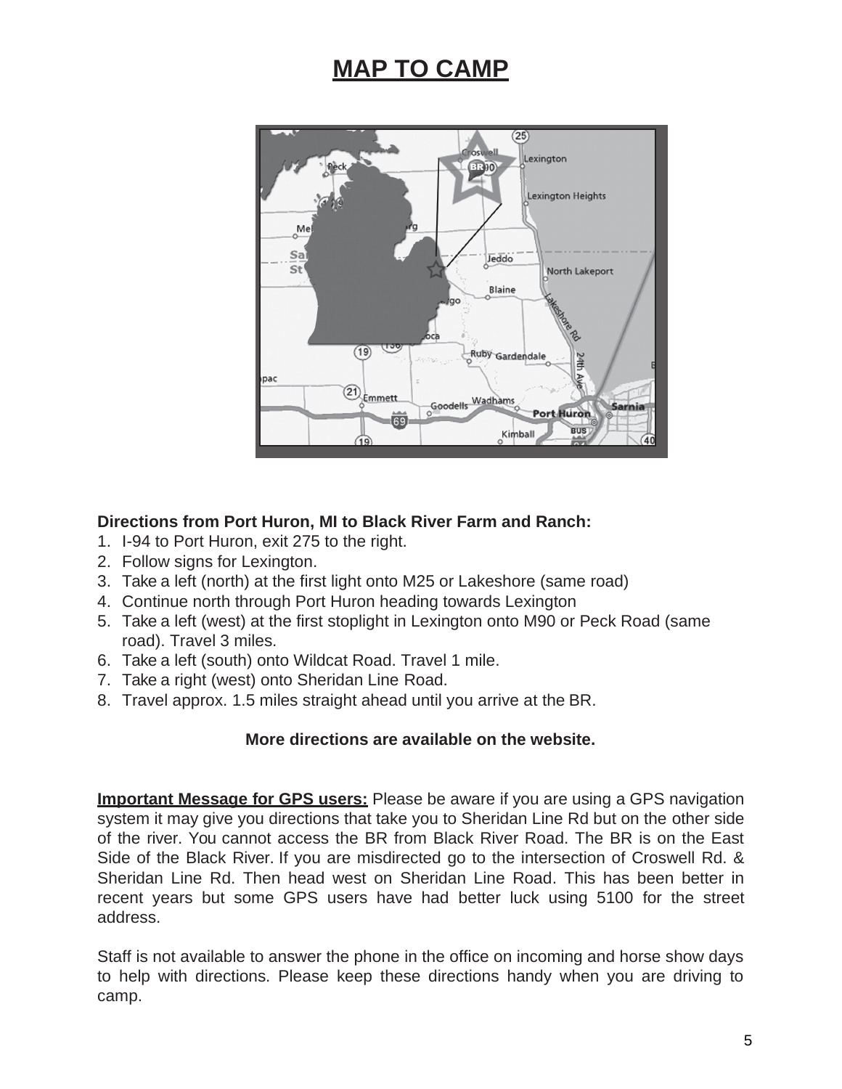## **MAP TO CAMP**



### **Directions from Port Huron, MI to Black River Farm and Ranch:**

- 1. I-94 to Port Huron, exit 275 to the right.
- 2. Follow signs for Lexington.
- 3. Take a left (north) at the first light onto M25 or Lakeshore (same road)
- 4. Continue north through Port Huron heading towards Lexington
- 5. Take a left (west) at the first stoplight in Lexington onto M90 or Peck Road (same road). Travel 3 miles.
- 6. Take a left (south) onto Wildcat Road. Travel 1 mile.
- 7. Take a right (west) onto Sheridan Line Road.
- 8. Travel approx. 1.5 miles straight ahead until you arrive at the BR.

#### **More directions are available on the website.**

**Important Message for GPS users:** Please be aware if you are using a GPS navigation system it may give you directions that take you to Sheridan Line Rd but on the other side of the river. You cannot access the BR from Black River Road. The BR is on the East Side of the Black River. If you are misdirected go to the intersection of Croswell Rd. & Sheridan Line Rd. Then head west on Sheridan Line Road. This has been better in recent years but some GPS users have had better luck using 5100 for the street address.

Staff is not available to answer the phone in the office on incoming and horse show days to help with directions. Please keep these directions handy when you are driving to camp.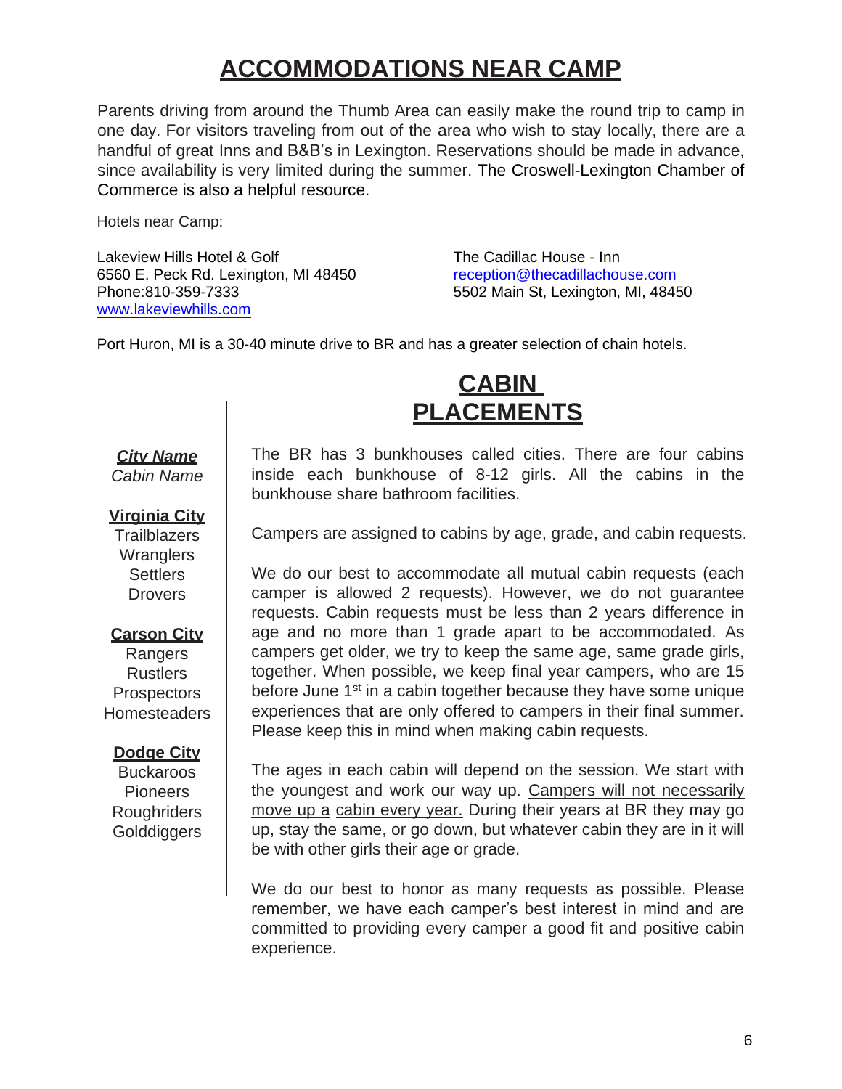## **ACCOMMODATIONS NEAR CAMP**

Parents driving from around the Thumb Area can easily make the round trip to camp in one day. For visitors traveling from out of the area who wish to stay locally, there are a handful of great Inns and B&B's in Lexington. Reservations should be made in advance, since availability is very limited during the summer. The Croswell-Lexington Chamber of Commerce is also a helpful resource.

Hotels near Camp:

Lakeview Hills Hotel & Golf 6560 E. Peck Rd. Lexington, MI 48450 Phone:810-359-7333 [www.lakeviewhills.com](http://www.lakeviewhills.com/)

The Cadillac House - Inn [reception@thecadillachouse.com](mailto:reception@thecadillachouse.com) 5502 Main St, Lexington, MI, 48450

Port Huron, MI is a 30-40 minute drive to BR and has a greater selection of chain hotels.

#### *City Name*

*Cabin Name*

#### **Virginia City**

**Trailblazers Wranglers Settlers Drovers** 

#### **Carson City**

Rangers **Rustlers Prospectors** Homesteaders

#### **Dodge City**

**Buckaroos** Pioneers **Roughriders Golddiggers** 

### **CABIN PLACEMENTS**

The BR has 3 bunkhouses called cities. There are four cabins inside each bunkhouse of 8-12 girls. All the cabins in the bunkhouse share bathroom facilities.

Campers are assigned to cabins by age, grade, and cabin requests.

We do our best to accommodate all mutual cabin requests (each camper is allowed 2 requests). However, we do not guarantee requests. Cabin requests must be less than 2 years difference in age and no more than 1 grade apart to be accommodated. As campers get older, we try to keep the same age, same grade girls, together. When possible, we keep final year campers, who are 15 before June 1<sup>st</sup> in a cabin together because they have some unique experiences that are only offered to campers in their final summer. Please keep this in mind when making cabin requests.

The ages in each cabin will depend on the session. We start with the youngest and work our way up. Campers will not necessarily move up a cabin every year. During their years at BR they may go up, stay the same, or go down, but whatever cabin they are in it will be with other girls their age or grade.

We do our best to honor as many requests as possible. Please remember, we have each camper's best interest in mind and are committed to providing every camper a good fit and positive cabin experience.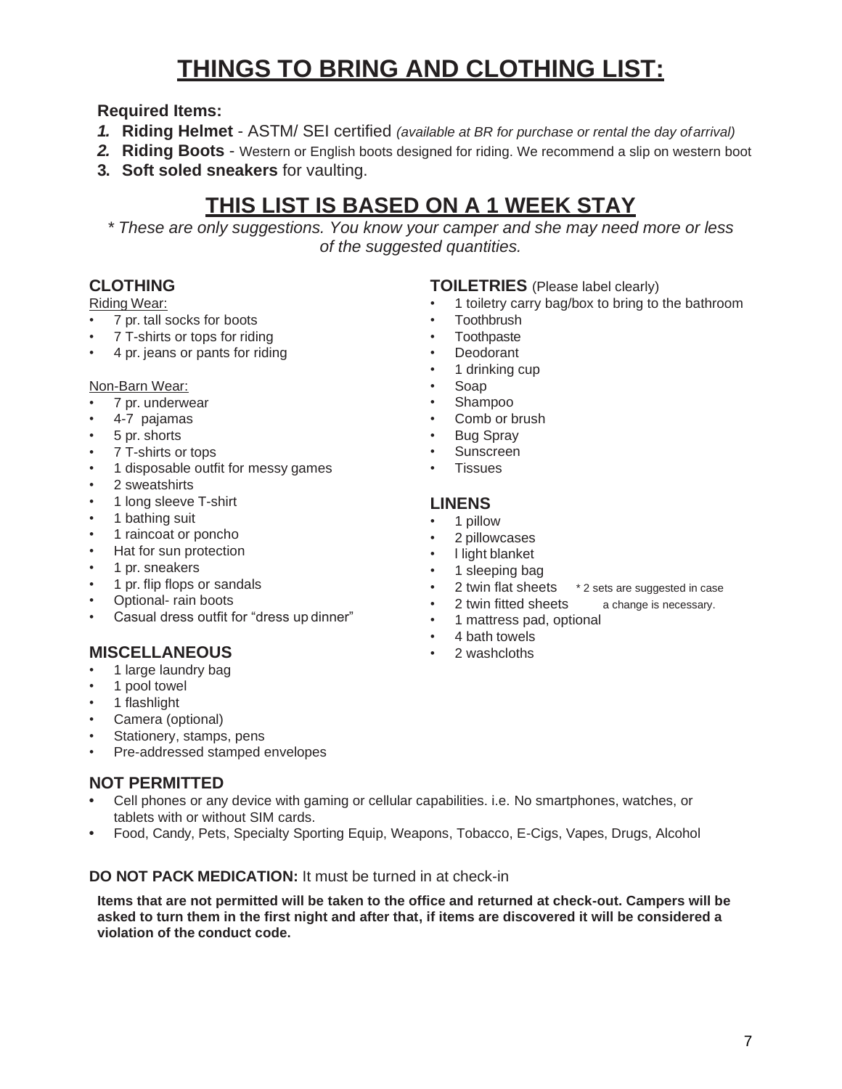# **THINGS TO BRING AND CLOTHING LIST:**

#### **Required Items:**

- *1.* **Riding Helmet**  ASTM/ SEI certified *(available at BR for purchase or rental the day ofarrival)*
- *2.* **Riding Boots**  Western or English boots designed for riding. We recommend a slip on western boot
- **3. Soft soled sneakers** for vaulting.

### **THIS LIST IS BASED ON A 1 WEEK STAY**

*\* These are only suggestions. You know your camper and she may need more or less of the suggested quantities.* 

### **CLOTHING**

Riding Wear:

- 7 pr. tall socks for boots
- 7 T-shirts or tops for riding
- 4 pr. jeans or pants for riding

#### Non-Barn Wear:

- 7 pr. underwear
- 4-7 pajamas
- 5 pr. shorts
- 7 T-shirts or tops
- 1 disposable outfit for messy games
- 2 sweatshirts
- 1 long sleeve T-shirt
- 1 bathing suit
- 1 raincoat or poncho
- Hat for sun protection
- 1 pr. sneakers
- 1 pr. flip flops or sandals
- Optional- rain boots
- Casual dress outfit for "dress up dinner"

#### **MISCELLANEOUS**

- 1 large laundry bag
- 1 pool towel
- 1 flashlight
- Camera (optional)
- Stationery, stamps, pens
- Pre-addressed stamped envelopes

#### **NOT PERMITTED**

- **•** Cell phones or any device with gaming or cellular capabilities. i.e. No smartphones, watches, or tablets with or without SIM cards.
- **•** Food, Candy, Pets, Specialty Sporting Equip, Weapons, Tobacco, E-Cigs, Vapes, Drugs, Alcohol

#### **DO NOT PACK MEDICATION:** It must be turned in at check-in

**Items that are not permitted will be taken to the office and returned at check-out. Campers will be asked to turn them in the first night and after that, if items are discovered it will be considered a violation of the conduct code.**

#### **TOILETRIES** (Please label clearly)

- 1 toiletry carry bag/box to bring to the bathroom
- Toothbrush
- **Toothpaste**
- **Deodorant**
- 1 drinking cup
- Soap
- Shampoo
- Comb or brush
- Bug Spray
- **Sunscreen**
- **Tissues**

#### **LINENS**

- 1 pillow
- 2 pillowcases
- l light blanket
- 1 sleeping bag
- 2 twin flat sheets \* 2 sets are suggested in case
- 2 twin fitted sheets a change is necessary.
- 1 mattress pad, optional
- 4 bath towels
- 2 washcloths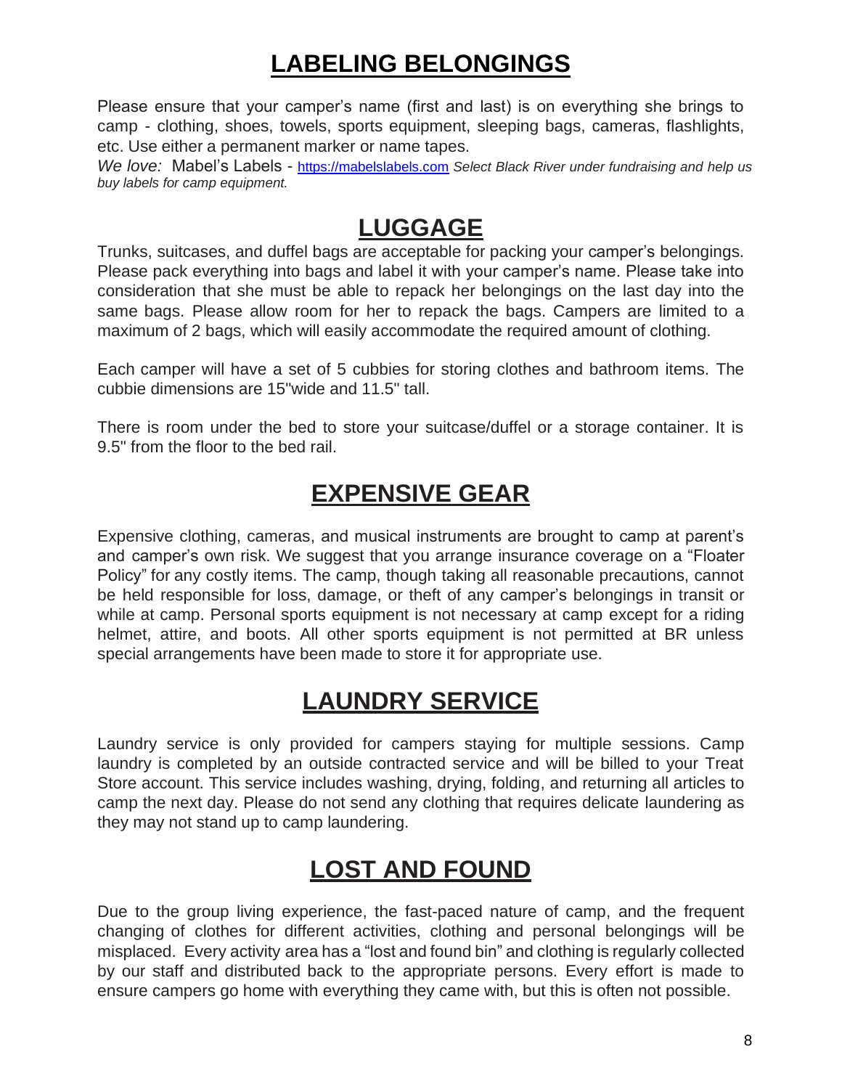# **LABELING BELONGINGS**

Please ensure that your camper's name (first and last) is on everything she brings to camp - clothing, shoes, towels, sports equipment, sleeping bags, cameras, flashlights, etc. Use either a permanent marker or name tapes.

*We love:* Mabel's Labels - [https://mabelslabels.com](https://mabelslabels.com/) *Select Black River under fundraising and help us buy labels for camp equipment.* 

## **LUGGAGE**

Trunks, suitcases, and duffel bags are acceptable for packing your camper's belongings. Please pack everything into bags and label it with your camper's name. Please take into consideration that she must be able to repack her belongings on the last day into the same bags. Please allow room for her to repack the bags. Campers are limited to a maximum of 2 bags, which will easily accommodate the required amount of clothing.

Each camper will have a set of 5 cubbies for storing clothes and bathroom items. The cubbie dimensions are 15"wide and 11.5" tall.

There is room under the bed to store your suitcase/duffel or a storage container. It is 9.5" from the floor to the bed rail.

## **EXPENSIVE GEAR**

Expensive clothing, cameras, and musical instruments are brought to camp at parent's and camper's own risk. We suggest that you arrange insurance coverage on a "Floater Policy" for any costly items. The camp, though taking all reasonable precautions, cannot be held responsible for loss, damage, or theft of any camper's belongings in transit or while at camp. Personal sports equipment is not necessary at camp except for a riding helmet, attire, and boots. All other sports equipment is not permitted at BR unless special arrangements have been made to store it for appropriate use.

## **LAUNDRY SERVICE**

Laundry service is only provided for campers staying for multiple sessions. Camp laundry is completed by an outside contracted service and will be billed to your Treat Store account. This service includes washing, drying, folding, and returning all articles to camp the next day. Please do not send any clothing that requires delicate laundering as they may not stand up to camp laundering.

# **LOST AND FOUND**

Due to the group living experience, the fast-paced nature of camp, and the frequent changing of clothes for different activities, clothing and personal belongings will be misplaced. Every activity area has a "lost and found bin" and clothing is regularly collected by our staff and distributed back to the appropriate persons. Every effort is made to ensure campers go home with everything they came with, but this is often not possible.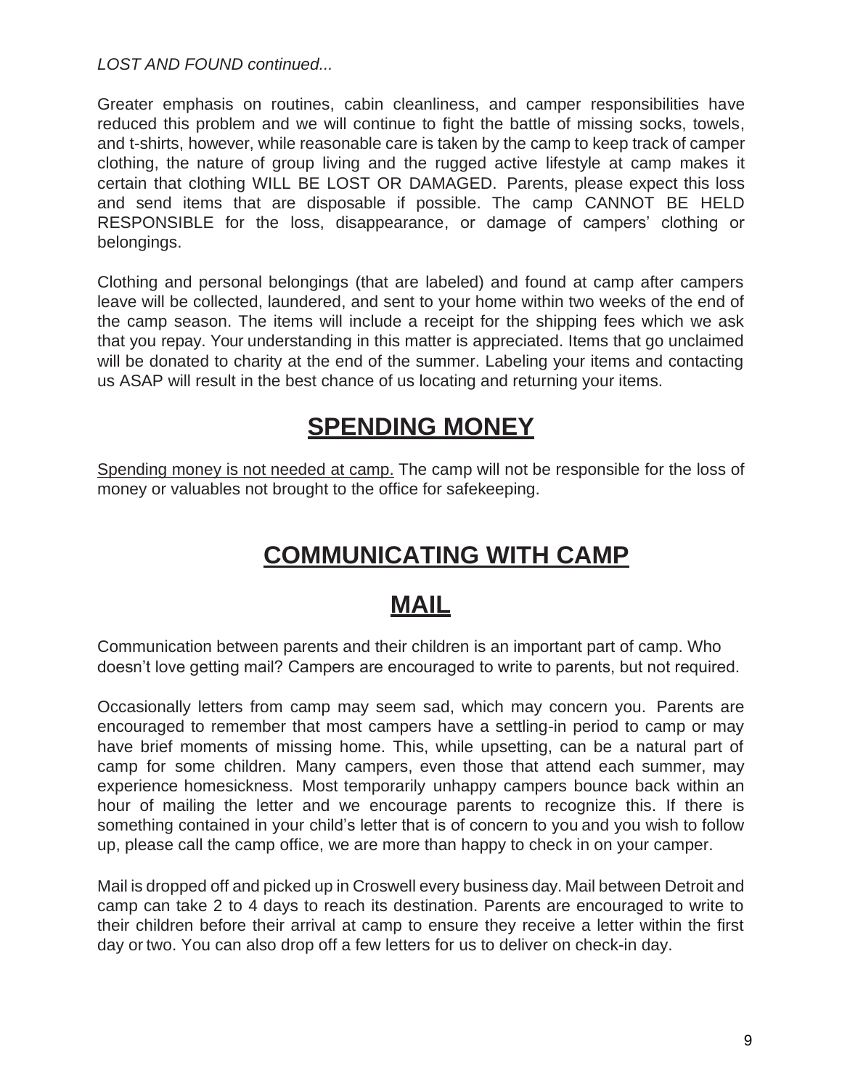*LOST AND FOUND continued...*

Greater emphasis on routines, cabin cleanliness, and camper responsibilities have reduced this problem and we will continue to fight the battle of missing socks, towels, and t-shirts, however, while reasonable care is taken by the camp to keep track of camper clothing, the nature of group living and the rugged active lifestyle at camp makes it certain that clothing WILL BE LOST OR DAMAGED. Parents, please expect this loss and send items that are disposable if possible. The camp CANNOT BE HELD RESPONSIBLE for the loss, disappearance, or damage of campers' clothing or belongings.

Clothing and personal belongings (that are labeled) and found at camp after campers leave will be collected, laundered, and sent to your home within two weeks of the end of the camp season. The items will include a receipt for the shipping fees which we ask that you repay. Your understanding in this matter is appreciated. Items that go unclaimed will be donated to charity at the end of the summer. Labeling your items and contacting us ASAP will result in the best chance of us locating and returning your items.

## **SPENDING MONEY**

Spending money is not needed at camp. The camp will not be responsible for the loss of money or valuables not brought to the office for safekeeping.

## **COMMUNICATING WITH CAMP**

### **MAIL**

Communication between parents and their children is an important part of camp. Who doesn't love getting mail? Campers are encouraged to write to parents, but not required.

Occasionally letters from camp may seem sad, which may concern you. Parents are encouraged to remember that most campers have a settling-in period to camp or may have brief moments of missing home. This, while upsetting, can be a natural part of camp for some children. Many campers, even those that attend each summer, may experience homesickness. Most temporarily unhappy campers bounce back within an hour of mailing the letter and we encourage parents to recognize this. If there is something contained in your child's letter that is of concern to you and you wish to follow up, please call the camp office, we are more than happy to check in on your camper.

Mail is dropped off and picked up in Croswell every business day. Mail between Detroit and camp can take 2 to 4 days to reach its destination. Parents are encouraged to write to their children before their arrival at camp to ensure they receive a letter within the first day or two. You can also drop off a few letters for us to deliver on check-in day.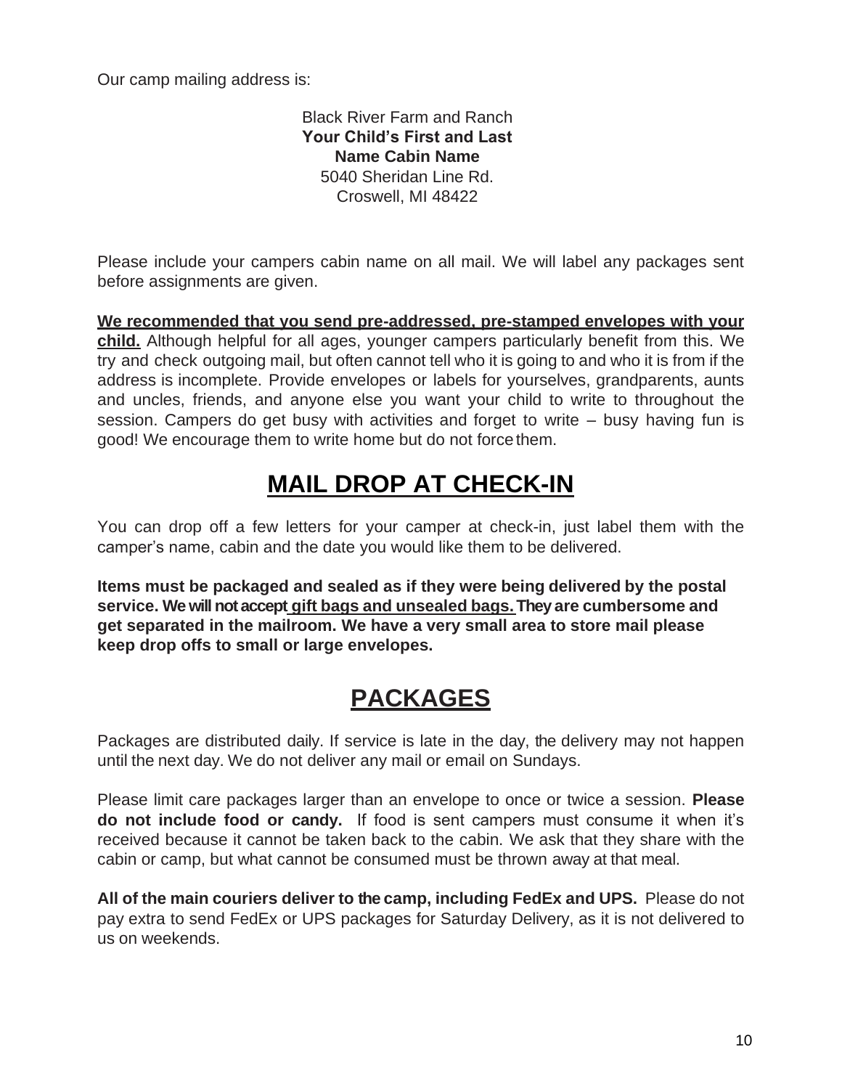Our camp mailing address is:

Black River Farm and Ranch **Your Child's First and Last Name Cabin Name** 5040 Sheridan Line Rd. Croswell, MI 48422

Please include your campers cabin name on all mail. We will label any packages sent before assignments are given.

**We recommended that you send pre-addressed, pre-stamped envelopes with your child.** Although helpful for all ages, younger campers particularly benefit from this. We try and check outgoing mail, but often cannot tell who it is going to and who it is from if the address is incomplete. Provide envelopes or labels for yourselves, grandparents, aunts and uncles, friends, and anyone else you want your child to write to throughout the session. Campers do get busy with activities and forget to write – busy having fun is good! We encourage them to write home but do not force them.

# **MAIL DROP AT CHECK-IN**

You can drop off a few letters for your camper at check-in, just label them with the camper's name, cabin and the date you would like them to be delivered.

**Items must be packaged and sealed as if they were being delivered by the postal service. We will not accept gift bags and unsealed bags. They are cumbersome and get separated in the mailroom. We have a very small area to store mail please keep drop offs to small or large envelopes.** 

# **PACKAGES**

Packages are distributed daily. If service is late in the day, the delivery may not happen until the next day. We do not deliver any mail or email on Sundays.

Please limit care packages larger than an envelope to once or twice a session. **Please do not include food or candy.** If food is sent campers must consume it when it's received because it cannot be taken back to the cabin. We ask that they share with the cabin or camp, but what cannot be consumed must be thrown away at that meal.

**All of the main couriers deliver to the camp, including FedEx and UPS.** Please do not pay extra to send FedEx or UPS packages for Saturday Delivery, as it is not delivered to us on weekends.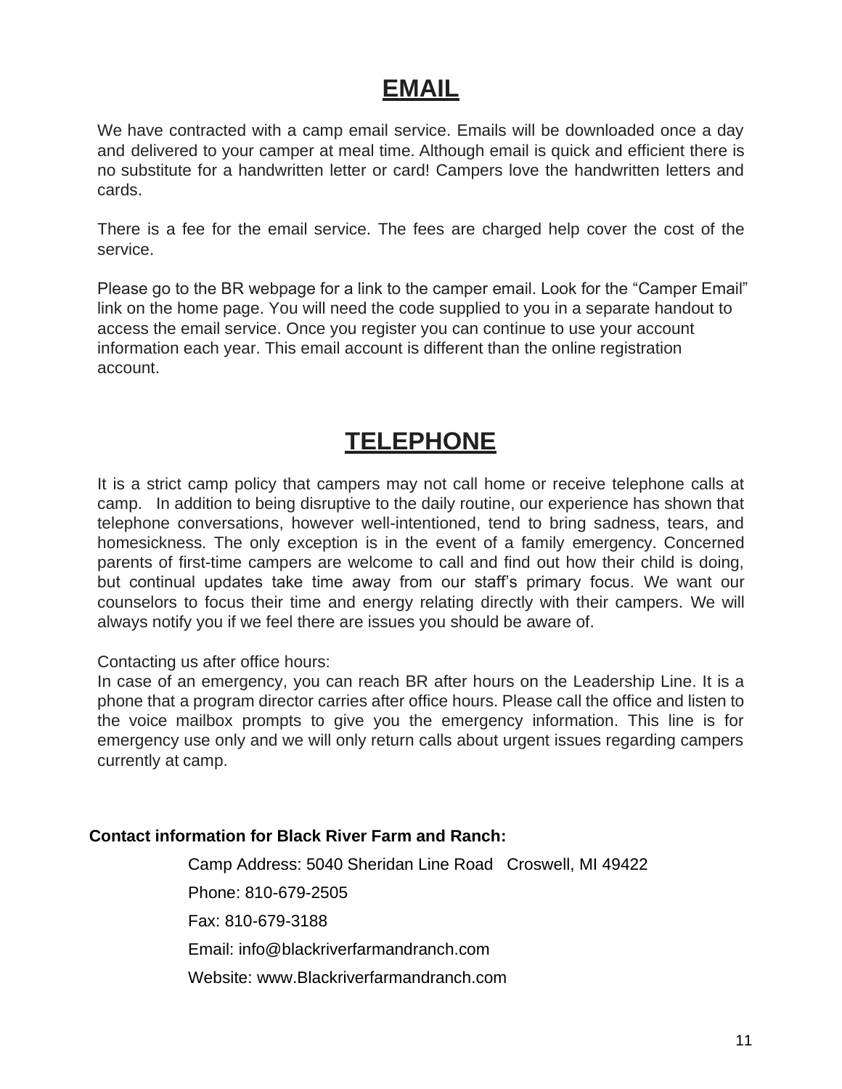### **EMAIL**

We have contracted with a camp email service. Emails will be downloaded once a day and delivered to your camper at meal time. Although email is quick and efficient there is no substitute for a handwritten letter or card! Campers love the handwritten letters and cards.

There is a fee for the email service. The fees are charged help cover the cost of the service.

Please go to the BR webpage for a link to the camper email. Look for the "Camper Email" link on the home page. You will need the code supplied to you in a separate handout to access the email service. Once you register you can continue to use your account information each year. This email account is different than the online registration account.

### **TELEPHONE**

It is a strict camp policy that campers may not call home or receive telephone calls at camp. In addition to being disruptive to the daily routine, our experience has shown that telephone conversations, however well-intentioned, tend to bring sadness, tears, and homesickness. The only exception is in the event of a family emergency. Concerned parents of first-time campers are welcome to call and find out how their child is doing, but continual updates take time away from our staff's primary focus. We want our counselors to focus their time and energy relating directly with their campers. We will always notify you if we feel there are issues you should be aware of.

Contacting us after office hours:

In case of an emergency, you can reach BR after hours on the Leadership Line. It is a phone that a program director carries after office hours. Please call the office and listen to the voice mailbox prompts to give you the emergency information. This line is for emergency use only and we will only return calls about urgent issues regarding campers currently at camp.

#### **Contact information for Black River Farm and Ranch:**

Camp Address: 5040 Sheridan Line Road Croswell, MI 49422 Phone: 810-679-2505 Fax: 810-679-3188 Email: info@blackriverfarmandranch.com Website: www.Blackriverfarmandranch.com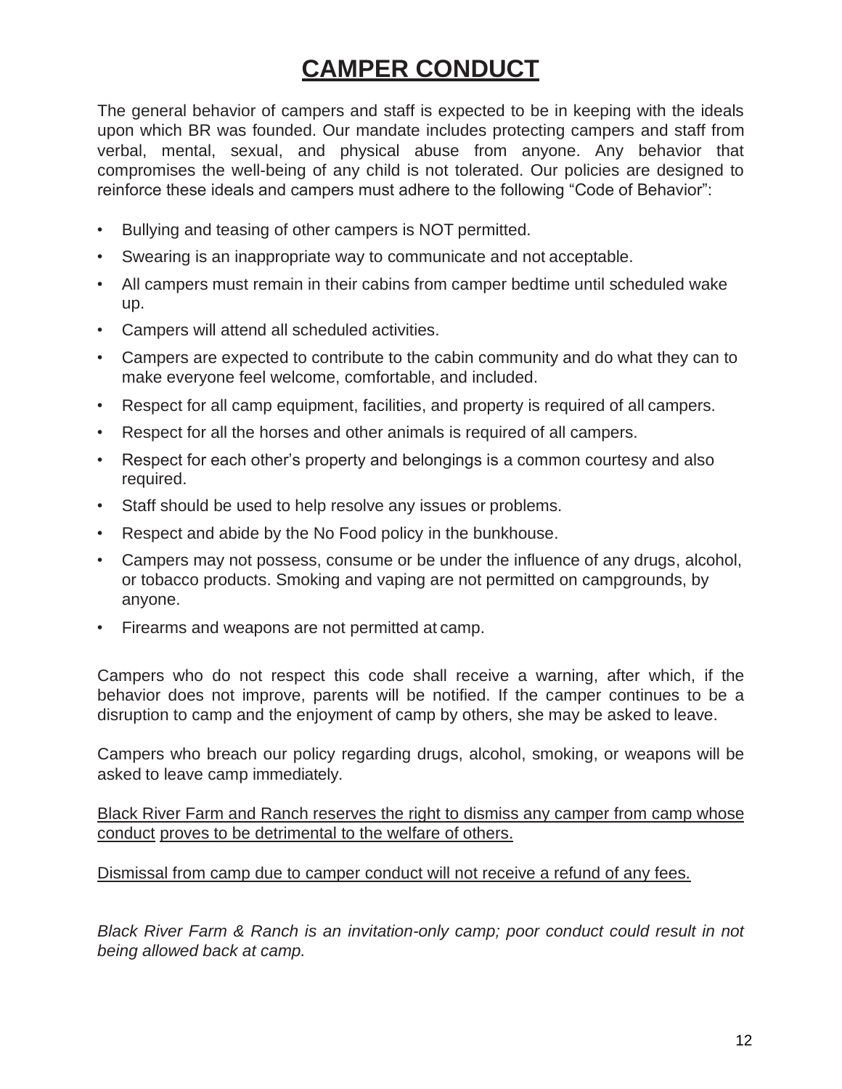# **CAMPER CONDUCT**

The general behavior of campers and staff is expected to be in keeping with the ideals upon which BR was founded. Our mandate includes protecting campers and staff from verbal, mental, sexual, and physical abuse from anyone. Any behavior that compromises the well-being of any child is not tolerated. Our policies are designed to reinforce these ideals and campers must adhere to the following "Code of Behavior":

- Bullying and teasing of other campers is NOT permitted.
- Swearing is an inappropriate way to communicate and not acceptable.
- All campers must remain in their cabins from camper bedtime until scheduled wake up.
- Campers will attend all scheduled activities.
- Campers are expected to contribute to the cabin community and do what they can to make everyone feel welcome, comfortable, and included.
- Respect for all camp equipment, facilities, and property is required of all campers.
- Respect for all the horses and other animals is required of all campers.
- Respect for each other's property and belongings is a common courtesy and also required.
- Staff should be used to help resolve any issues or problems.
- Respect and abide by the No Food policy in the bunkhouse.
- Campers may not possess, consume or be under the influence of any drugs, alcohol, or tobacco products. Smoking and vaping are not permitted on campgrounds, by anyone.
- Firearms and weapons are not permitted at camp.

Campers who do not respect this code shall receive a warning, after which, if the behavior does not improve, parents will be notified. If the camper continues to be a disruption to camp and the enjoyment of camp by others, she may be asked to leave.

Campers who breach our policy regarding drugs, alcohol, smoking, or weapons will be asked to leave camp immediately.

Black River Farm and Ranch reserves the right to dismiss any camper from camp whose conduct proves to be detrimental to the welfare of others.

Dismissal from camp due to camper conduct will not receive a refund of any fees.

*Black River Farm & Ranch is an invitation-only camp; poor conduct could result in not being allowed back at camp.*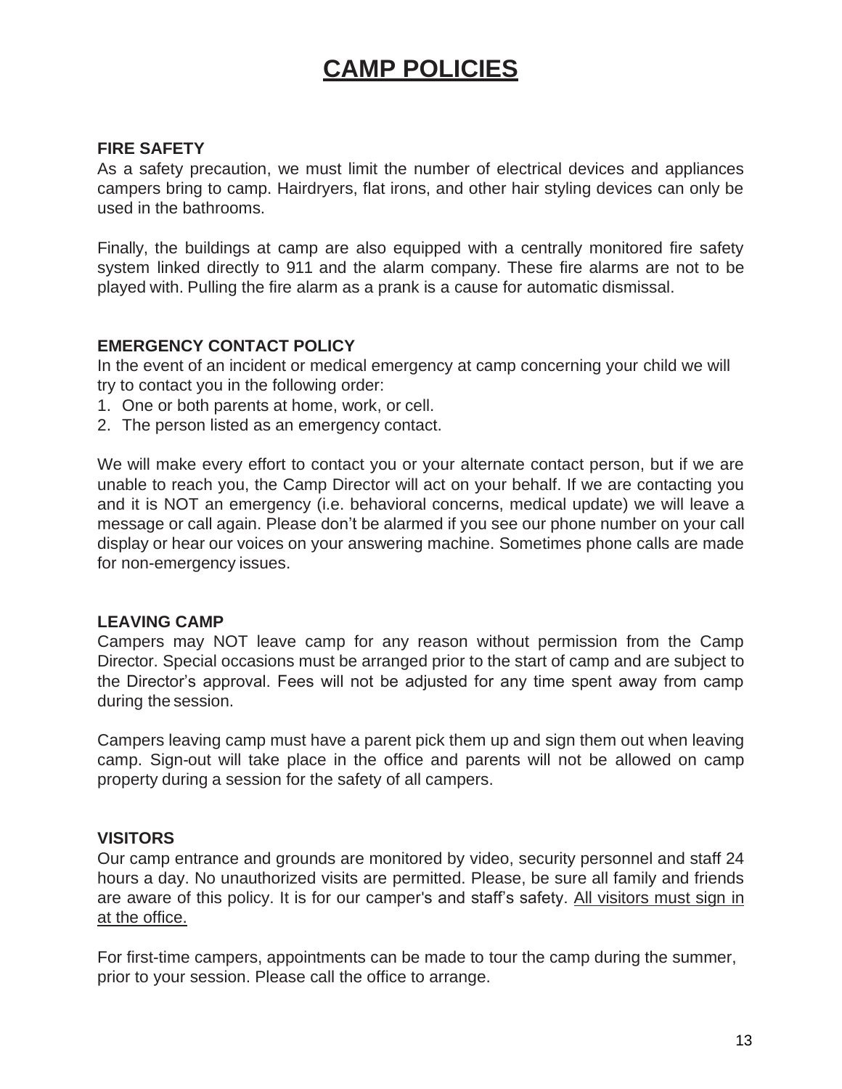# **CAMP POLICIES**

#### **FIRE SAFETY**

As a safety precaution, we must limit the number of electrical devices and appliances campers bring to camp. Hairdryers, flat irons, and other hair styling devices can only be used in the bathrooms.

Finally, the buildings at camp are also equipped with a centrally monitored fire safety system linked directly to 911 and the alarm company. These fire alarms are not to be played with. Pulling the fire alarm as a prank is a cause for automatic dismissal.

#### **EMERGENCY CONTACT POLICY**

In the event of an incident or medical emergency at camp concerning your child we will try to contact you in the following order:

- 1. One or both parents at home, work, or cell.
- 2. The person listed as an emergency contact.

We will make every effort to contact you or your alternate contact person, but if we are unable to reach you, the Camp Director will act on your behalf. If we are contacting you and it is NOT an emergency (i.e. behavioral concerns, medical update) we will leave a message or call again. Please don't be alarmed if you see our phone number on your call display or hear our voices on your answering machine. Sometimes phone calls are made for non-emergency issues.

#### **LEAVING CAMP**

Campers may NOT leave camp for any reason without permission from the Camp Director. Special occasions must be arranged prior to the start of camp and are subject to the Director's approval. Fees will not be adjusted for any time spent away from camp during the session.

Campers leaving camp must have a parent pick them up and sign them out when leaving camp. Sign-out will take place in the office and parents will not be allowed on camp property during a session for the safety of all campers.

#### **VISITORS**

Our camp entrance and grounds are monitored by video, security personnel and staff 24 hours a day. No unauthorized visits are permitted. Please, be sure all family and friends are aware of this policy. It is for our camper's and staff's safety. All visitors must sign in at the office.

For first-time campers, appointments can be made to tour the camp during the summer, prior to your session. Please call the office to arrange.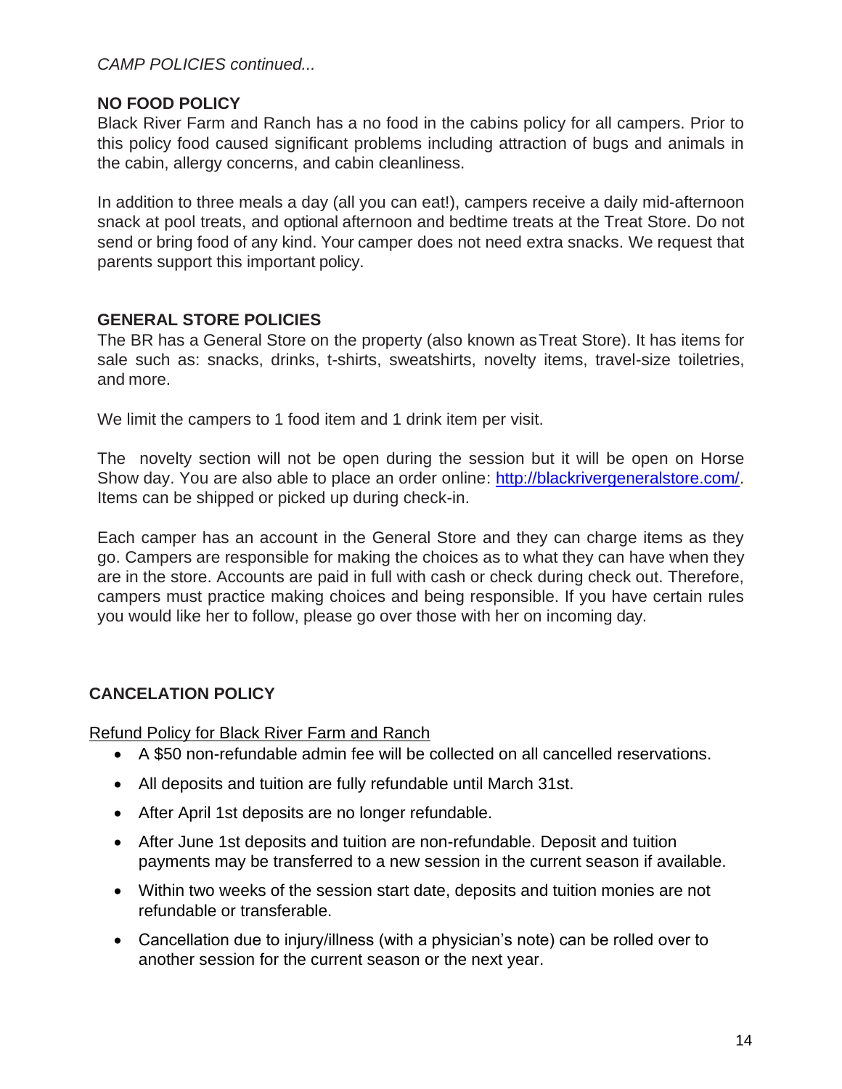*CAMP POLICIES continued...*

#### **NO FOOD POLICY**

Black River Farm and Ranch has a no food in the cabins policy for all campers. Prior to this policy food caused significant problems including attraction of bugs and animals in the cabin, allergy concerns, and cabin cleanliness.

In addition to three meals a day (all you can eat!), campers receive a daily mid-afternoon snack at pool treats, and optional afternoon and bedtime treats at the Treat Store. Do not send or bring food of any kind. Your camper does not need extra snacks. We request that parents support this important policy.

### **GENERAL STORE POLICIES**

The BR has a General Store on the property (also known asTreat Store). It has items for sale such as: snacks, drinks, t-shirts, sweatshirts, novelty items, travel-size toiletries, and more.

We limit the campers to 1 food item and 1 drink item per visit.

The novelty section will not be open during the session but it will be open on Horse Show day. You are also able to place an order online: [http://blackrivergeneralstore.com/.](http://blackrivergeneralstore.com/) Items can be shipped or picked up during check-in.

Each camper has an account in the General Store and they can charge items as they go. Campers are responsible for making the choices as to what they can have when they are in the store. Accounts are paid in full with cash or check during check out. Therefore, campers must practice making choices and being responsible. If you have certain rules you would like her to follow, please go over those with her on incoming day.

### **CANCELATION POLICY**

Refund Policy for Black River Farm and Ranch

- A \$50 non-refundable admin fee will be collected on all cancelled reservations.
- All deposits and tuition are fully refundable until March 31st.
- After April 1st deposits are no longer refundable.
- After June 1st deposits and tuition are non-refundable. Deposit and tuition payments may be transferred to a new session in the current season if available.
- Within two weeks of the session start date, deposits and tuition monies are not refundable or transferable.
- Cancellation due to injury/illness (with a physician's note) can be rolled over to another session for the current season or the next year.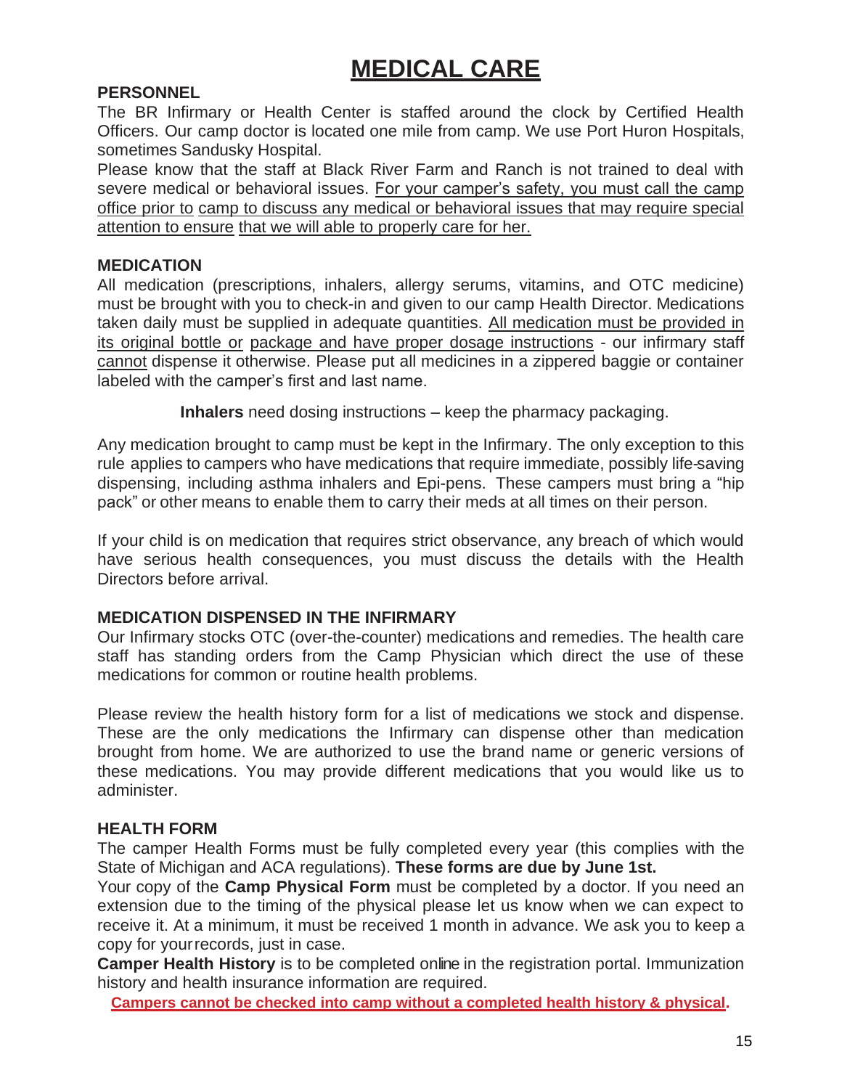## **MEDICAL CARE**

#### **PERSONNEL**

The BR Infirmary or Health Center is staffed around the clock by Certified Health Officers. Our camp doctor is located one mile from camp. We use Port Huron Hospitals, sometimes Sandusky Hospital.

Please know that the staff at Black River Farm and Ranch is not trained to deal with severe medical or behavioral issues. For your camper's safety, you must call the camp office prior to camp to discuss any medical or behavioral issues that may require special attention to ensure that we will able to properly care for her.

#### **MEDICATION**

All medication (prescriptions, inhalers, allergy serums, vitamins, and OTC medicine) must be brought with you to check-in and given to our camp Health Director. Medications taken daily must be supplied in adequate quantities. All medication must be provided in its original bottle or package and have proper dosage instructions - our infirmary staff cannot dispense it otherwise. Please put all medicines in a zippered baggie or container labeled with the camper's first and last name.

**Inhalers** need dosing instructions – keep the pharmacy packaging.

Any medication brought to camp must be kept in the Infirmary. The only exception to this rule applies to campers who have medications that require immediate, possibly life-saving dispensing, including asthma inhalers and Epi-pens. These campers must bring a "hip pack" or other means to enable them to carry their meds at all times on their person.

If your child is on medication that requires strict observance, any breach of which would have serious health consequences, you must discuss the details with the Health Directors before arrival.

#### **MEDICATION DISPENSED IN THE INFIRMARY**

Our Infirmary stocks OTC (over-the-counter) medications and remedies. The health care staff has standing orders from the Camp Physician which direct the use of these medications for common or routine health problems.

Please review the health history form for a list of medications we stock and dispense. These are the only medications the Infirmary can dispense other than medication brought from home. We are authorized to use the brand name or generic versions of these medications. You may provide different medications that you would like us to administer.

#### **HEALTH FORM**

The camper Health Forms must be fully completed every year (this complies with the State of Michigan and ACA regulations). **These forms are due by June 1st.**

Your copy of the **Camp Physical Form** must be completed by a doctor. If you need an extension due to the timing of the physical please let us know when we can expect to receive it. At a minimum, it must be received 1 month in advance. We ask you to keep a copy for yourrecords, just in case.

**Camper Health History** is to be completed online in the registration portal. Immunization history and health insurance information are required.

**Campers cannot be checked into camp without a completed health history & physical.**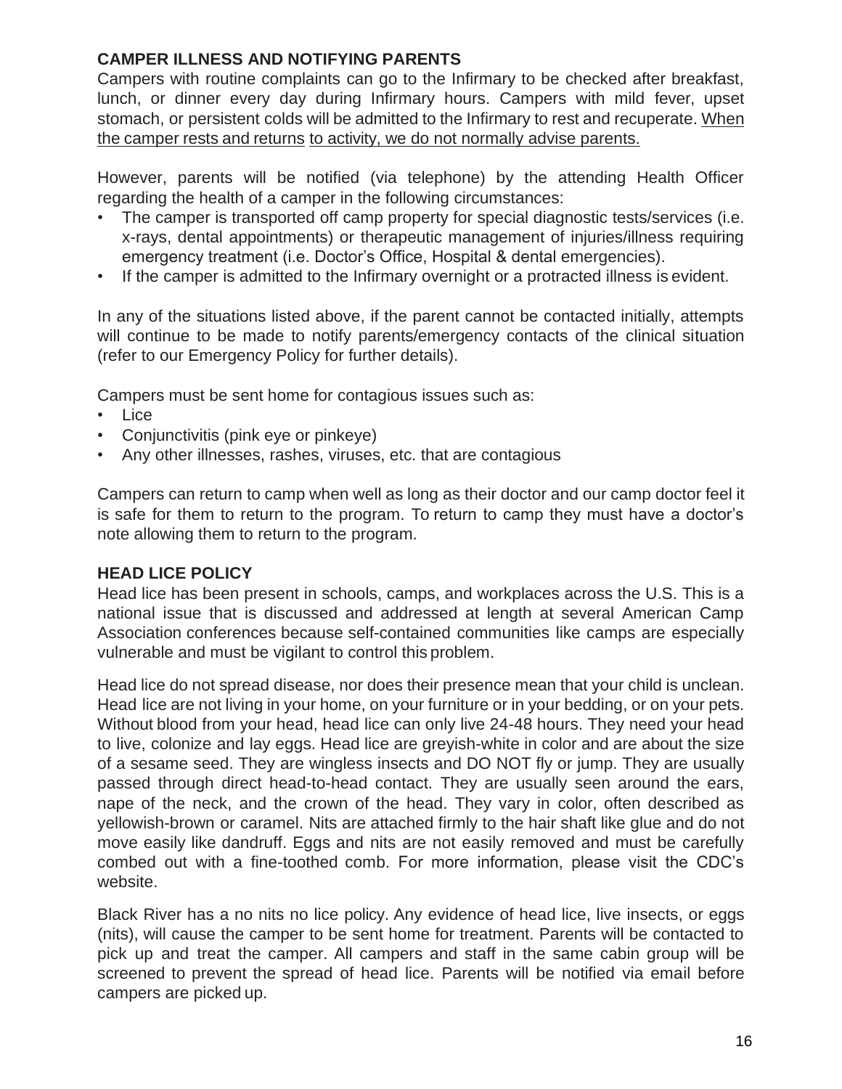### **CAMPER ILLNESS AND NOTIFYING PARENTS**

Campers with routine complaints can go to the Infirmary to be checked after breakfast, lunch, or dinner every day during Infirmary hours. Campers with mild fever, upset stomach, or persistent colds will be admitted to the Infirmary to rest and recuperate. When the camper rests and returns to activity, we do not normally advise parents.

However, parents will be notified (via telephone) by the attending Health Officer regarding the health of a camper in the following circumstances:

- The camper is transported off camp property for special diagnostic tests/services (i.e. x-rays, dental appointments) or therapeutic management of injuries/illness requiring emergency treatment (i.e. Doctor's Office, Hospital & dental emergencies).
- If the camper is admitted to the Infirmary overnight or a protracted illness is evident.

In any of the situations listed above, if the parent cannot be contacted initially, attempts will continue to be made to notify parents/emergency contacts of the clinical situation (refer to our Emergency Policy for further details).

Campers must be sent home for contagious issues such as:

- Lice
- Conjunctivitis (pink eye or pinkeye)
- Any other illnesses, rashes, viruses, etc. that are contagious

Campers can return to camp when well as long as their doctor and our camp doctor feel it is safe for them to return to the program. To return to camp they must have a doctor's note allowing them to return to the program.

#### **HEAD LICE POLICY**

Head lice has been present in schools, camps, and workplaces across the U.S. This is a national issue that is discussed and addressed at length at several American Camp Association conferences because self-contained communities like camps are especially vulnerable and must be vigilant to control this problem.

Head lice do not spread disease, nor does their presence mean that your child is unclean. Head lice are not living in your home, on your furniture or in your bedding, or on your pets. Without blood from your head, head lice can only live 24-48 hours. They need your head to live, colonize and lay eggs. Head lice are greyish-white in color and are about the size of a sesame seed. They are wingless insects and DO NOT fly or jump. They are usually passed through direct head-to-head contact. They are usually seen around the ears, nape of the neck, and the crown of the head. They vary in color, often described as yellowish-brown or caramel. Nits are attached firmly to the hair shaft like glue and do not move easily like dandruff. Eggs and nits are not easily removed and must be carefully combed out with a fine-toothed comb. For more information, please visit the CDC's website.

Black River has a no nits no lice policy. Any evidence of head lice, live insects, or eggs (nits), will cause the camper to be sent home for treatment. Parents will be contacted to pick up and treat the camper. All campers and staff in the same cabin group will be screened to prevent the spread of head lice. Parents will be notified via email before campers are picked up.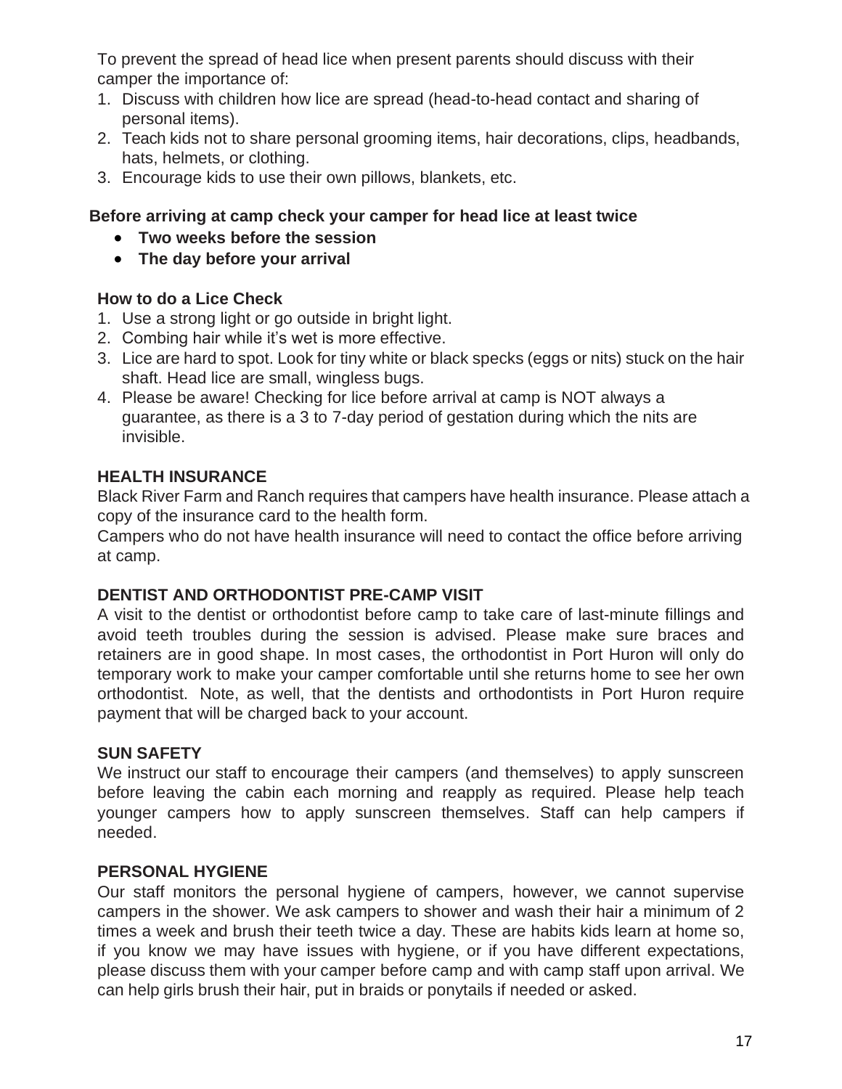To prevent the spread of head lice when present parents should discuss with their camper the importance of:

- 1. Discuss with children how lice are spread (head-to-head contact and sharing of personal items).
- 2. Teach kids not to share personal grooming items, hair decorations, clips, headbands, hats, helmets, or clothing.
- 3. Encourage kids to use their own pillows, blankets, etc.

### **Before arriving at camp check your camper for head lice at least twice**

- **Two weeks before the session**
- **The day before your arrival**

### **How to do a Lice Check**

- 1. Use a strong light or go outside in bright light.
- 2. Combing hair while it's wet is more effective.
- 3. Lice are hard to spot. Look for tiny white or black specks (eggs or nits) stuck on the hair shaft. Head lice are small, wingless bugs.
- 4. Please be aware! Checking for lice before arrival at camp is NOT always a guarantee, as there is a 3 to 7-day period of gestation during which the nits are invisible.

### **HEALTH INSURANCE**

Black River Farm and Ranch requires that campers have health insurance. Please attach a copy of the insurance card to the health form.

Campers who do not have health insurance will need to contact the office before arriving at camp.

### **DENTIST AND ORTHODONTIST PRE-CAMP VISIT**

A visit to the dentist or orthodontist before camp to take care of last-minute fillings and avoid teeth troubles during the session is advised. Please make sure braces and retainers are in good shape. In most cases, the orthodontist in Port Huron will only do temporary work to make your camper comfortable until she returns home to see her own orthodontist. Note, as well, that the dentists and orthodontists in Port Huron require payment that will be charged back to your account.

### **SUN SAFETY**

We instruct our staff to encourage their campers (and themselves) to apply sunscreen before leaving the cabin each morning and reapply as required. Please help teach younger campers how to apply sunscreen themselves. Staff can help campers if needed.

### **PERSONAL HYGIENE**

Our staff monitors the personal hygiene of campers, however, we cannot supervise campers in the shower. We ask campers to shower and wash their hair a minimum of 2 times a week and brush their teeth twice a day. These are habits kids learn at home so, if you know we may have issues with hygiene, or if you have different expectations, please discuss them with your camper before camp and with camp staff upon arrival. We can help girls brush their hair, put in braids or ponytails if needed or asked.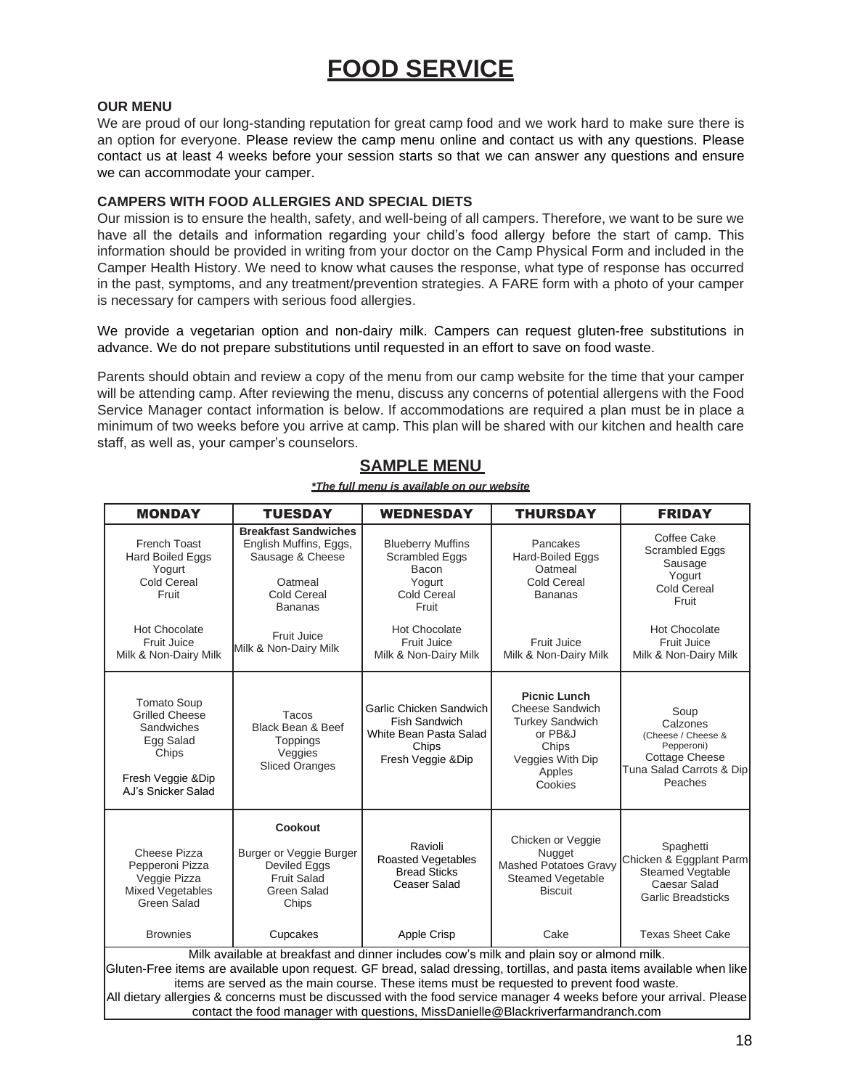## **FOOD SERVICE**

#### **OUR MENU**

We are proud of our long-standing reputation for great camp food and we work hard to make sure there is an option for everyone. Please review the camp menu online and contact us with any questions. Please contact us at least 4 weeks before your session starts so that we can answer any questions and ensure we can accommodate your camper.

#### **CAMPERS WITH FOOD ALLERGIES AND SPECIAL DIETS**

Our mission is to ensure the health, safety, and well-being of all campers. Therefore, we want to be sure we have all the details and information regarding your child's food allergy before the start of camp. This information should be provided in writing from your doctor on the Camp Physical Form and included in the Camper Health History. We need to know what causes the response, what type of response has occurred in the past, symptoms, and any treatment/prevention strategies. A FARE form with a photo of your camper is necessary for campers with serious food allergies.

We provide a vegetarian option and non-dairy milk. Campers can request gluten-free substitutions in advance. We do not prepare substitutions until requested in an effort to save on food waste.

Parents should obtain and review a copy of the menu from our camp website for the time that your camper will be attending camp. After reviewing the menu, discuss any concerns of potential allergens with the Food Service Manager contact information is below. If accommodations are required a plan must be in place a minimum of two weeks before you arrive at camp. This plan will be shared with our kitchen and health care staff, as well as, your camper's counselors.

| <b>MONDAY</b>                                                                                                        | <b>TUESDAY</b>                                                                                                               | <b>WEDNESDAY</b>                                                                                         | <b>THURSDAY</b>                                                                                                                      | <b>FRIDAY</b>                                                                                                                    |
|----------------------------------------------------------------------------------------------------------------------|------------------------------------------------------------------------------------------------------------------------------|----------------------------------------------------------------------------------------------------------|--------------------------------------------------------------------------------------------------------------------------------------|----------------------------------------------------------------------------------------------------------------------------------|
| <b>French Toast</b><br>Hard Boiled Eggs<br>Yogurt<br><b>Cold Cereal</b><br>Fruit                                     | <b>Breakfast Sandwiches</b><br>English Muffins, Eggs,<br>Sausage & Cheese<br>Oatmeal<br><b>Cold Cereal</b><br><b>Bananas</b> | <b>Blueberry Muffins</b><br>Scrambled Eggs<br>Bacon<br>Yogurt<br><b>Cold Cereal</b><br>Fruit             | Pancakes<br>Hard-Boiled Eggs<br>Oatmeal<br><b>Cold Cereal</b><br><b>Bananas</b>                                                      | Coffee Cake<br><b>Scrambled Eggs</b><br>Sausage<br>Yogurt<br><b>Cold Cereal</b><br>Fruit                                         |
| <b>Hot Chocolate</b><br><b>Fruit Juice</b><br>Milk & Non-Dairy Milk                                                  | <b>Fruit Juice</b><br>Milk & Non-Dairy Milk                                                                                  | <b>Hot Chocolate</b><br><b>Fruit Juice</b><br>Milk & Non-Dairy Milk                                      | Fruit Juice<br>Milk & Non-Dairy Milk                                                                                                 | <b>Hot Chocolate</b><br><b>Fruit Juice</b><br>Milk & Non-Dairy Milk                                                              |
| Tomato Soup<br><b>Grilled Cheese</b><br>Sandwiches<br>Egg Salad<br>Chips<br>Fresh Veggie & Dip<br>AJ's Snicker Salad | Tacos<br><b>Black Bean &amp; Beef</b><br><b>Toppings</b><br>Veggies<br><b>Sliced Oranges</b>                                 | Garlic Chicken Sandwich<br><b>Fish Sandwich</b><br>White Bean Pasta Salad<br>Chips<br>Fresh Veggie & Dip | <b>Picnic Lunch</b><br><b>Cheese Sandwich</b><br><b>Turkey Sandwich</b><br>or PB&J<br>Chips<br>Veggies With Dip<br>Apples<br>Cookies | Soup<br>Calzones<br>(Cheese / Cheese &<br>Pepperoni)<br><b>Cottage Cheese</b><br>Tuna Salad Carrots & Dip<br>Peaches             |
| Cheese Pizza<br>Pepperoni Pizza<br>Veggie Pizza<br><b>Mixed Vegetables</b><br>Green Salad<br><b>Brownies</b>         | Cookout<br>Burger or Veggie Burger<br>Deviled Eggs<br><b>Fruit Salad</b><br><b>Green Salad</b><br>Chips<br>Cupcakes          | Ravioli<br><b>Roasted Vegetables</b><br><b>Bread Sticks</b><br>Ceaser Salad<br>Apple Crisp               | Chicken or Veggie<br>Nugget<br><b>Mashed Potatoes Gravy</b><br><b>Steamed Vegetable</b><br><b>Biscuit</b><br>Cake                    | Spaghetti<br>Chicken & Eggplant Parm<br>Steamed Vegtable<br>Caesar Salad<br><b>Garlic Breadsticks</b><br><b>Texas Sheet Cake</b> |
|                                                                                                                      | Milk available at breakfast and dinner includes cow's milk and plain soy or almond milk.                                     |                                                                                                          |                                                                                                                                      |                                                                                                                                  |
|                                                                                                                      |                                                                                                                              |                                                                                                          |                                                                                                                                      | Gluten-Free items are available upon request. GF bread, salad dressing, tortillas, and pasta items available when like           |
|                                                                                                                      | items are served as the main course. These items must be requested to prevent food waste.                                    |                                                                                                          |                                                                                                                                      | All dietary allergies & concerns must be discussed with the food service manager 4 weeks before your arrival. Please             |

contact the food manager with questions, MissDanielle@Blackriverfarmandranch.com

#### **SAMPLE MENU**

*\*The full menu is available on our website*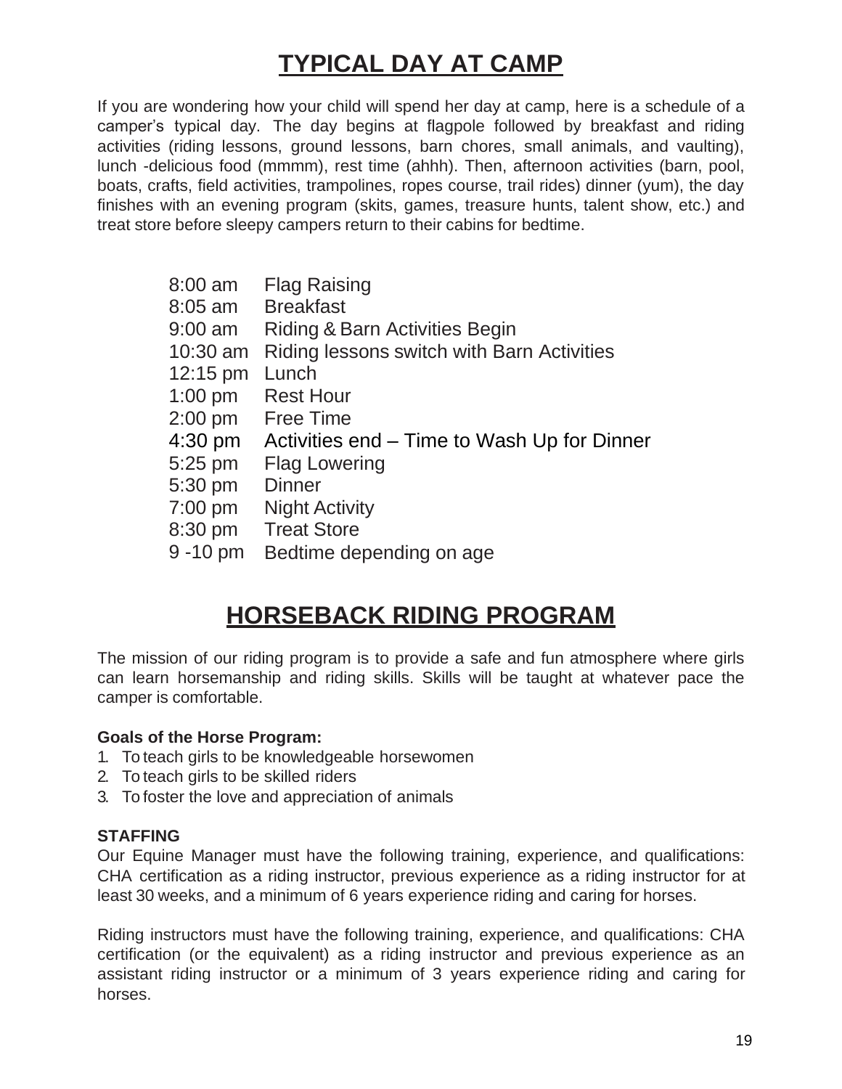# **TYPICAL DAY AT CAMP**

If you are wondering how your child will spend her day at camp, here is a schedule of a camper's typical day. The day begins at flagpole followed by breakfast and riding activities (riding lessons, ground lessons, barn chores, small animals, and vaulting), lunch -delicious food (mmmm), rest time (ahhh). Then, afternoon activities (barn, pool, boats, crafts, field activities, trampolines, ropes course, trail rides) dinner (yum), the day finishes with an evening program (skits, games, treasure hunts, talent show, etc.) and treat store before sleepy campers return to their cabins for bedtime.

| 8:00 am            | <b>Flag Raising</b>                               |
|--------------------|---------------------------------------------------|
| 8:05 am            | <b>Breakfast</b>                                  |
| 9:00 am            | Riding & Barn Activities Begin                    |
| $10:30$ am         | <b>Riding lessons switch with Barn Activities</b> |
| $12:15 \text{ pm}$ | Lunch                                             |
| $1:00$ pm          | <b>Rest Hour</b>                                  |
| 2:00 pm            | <b>Free Time</b>                                  |
| 4:30 pm            | Activities end – Time to Wash Up for Dinner       |
| 5:25 pm            | <b>Flag Lowering</b>                              |
| 5:30 pm            | Dinner                                            |
| $7:00$ pm          | <b>Night Activity</b>                             |
| 8:30 pm            | <b>Treat Store</b>                                |
| $9 - 10$ pm        | Bedtime depending on age                          |

## **HORSEBACK RIDING PROGRAM**

The mission of our riding program is to provide a safe and fun atmosphere where girls can learn horsemanship and riding skills. Skills will be taught at whatever pace the camper is comfortable.

#### **Goals of the Horse Program:**

- 1. To teach girls to be knowledgeable horsewomen
- 2. To teach girls to be skilled riders
- 3. To foster the love and appreciation of animals

#### **STAFFING**

Our Equine Manager must have the following training, experience, and qualifications: CHA certification as a riding instructor, previous experience as a riding instructor for at least 30 weeks, and a minimum of 6 years experience riding and caring for horses.

Riding instructors must have the following training, experience, and qualifications: CHA certification (or the equivalent) as a riding instructor and previous experience as an assistant riding instructor or a minimum of 3 years experience riding and caring for horses.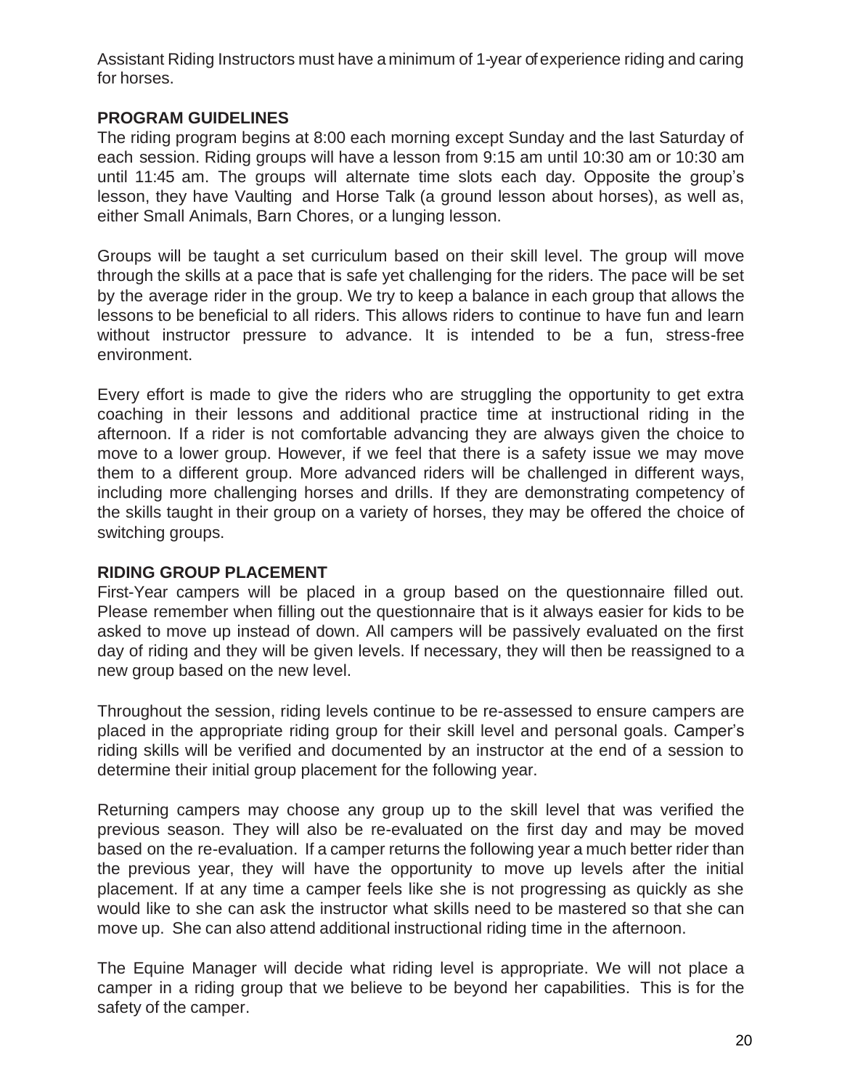Assistant Riding Instructors must have a minimum of 1-year of experience riding and caring for horses.

#### **PROGRAM GUIDELINES**

The riding program begins at 8:00 each morning except Sunday and the last Saturday of each session. Riding groups will have a lesson from 9:15 am until 10:30 am or 10:30 am until 11:45 am. The groups will alternate time slots each day. Opposite the group's lesson, they have Vaulting and Horse Talk (a ground lesson about horses), as well as, either Small Animals, Barn Chores, or a lunging lesson.

Groups will be taught a set curriculum based on their skill level. The group will move through the skills at a pace that is safe yet challenging for the riders. The pace will be set by the average rider in the group. We try to keep a balance in each group that allows the lessons to be beneficial to all riders. This allows riders to continue to have fun and learn without instructor pressure to advance. It is intended to be a fun, stress-free environment.

Every effort is made to give the riders who are struggling the opportunity to get extra coaching in their lessons and additional practice time at instructional riding in the afternoon. If a rider is not comfortable advancing they are always given the choice to move to a lower group. However, if we feel that there is a safety issue we may move them to a different group. More advanced riders will be challenged in different ways, including more challenging horses and drills. If they are demonstrating competency of the skills taught in their group on a variety of horses, they may be offered the choice of switching groups.

#### **RIDING GROUP PLACEMENT**

First-Year campers will be placed in a group based on the questionnaire filled out. Please remember when filling out the questionnaire that is it always easier for kids to be asked to move up instead of down. All campers will be passively evaluated on the first day of riding and they will be given levels. If necessary, they will then be reassigned to a new group based on the new level.

Throughout the session, riding levels continue to be re-assessed to ensure campers are placed in the appropriate riding group for their skill level and personal goals. Camper's riding skills will be verified and documented by an instructor at the end of a session to determine their initial group placement for the following year.

Returning campers may choose any group up to the skill level that was verified the previous season. They will also be re-evaluated on the first day and may be moved based on the re-evaluation. If a camper returns the following year a much better rider than the previous year, they will have the opportunity to move up levels after the initial placement. If at any time a camper feels like she is not progressing as quickly as she would like to she can ask the instructor what skills need to be mastered so that she can move up. She can also attend additional instructional riding time in the afternoon.

The Equine Manager will decide what riding level is appropriate. We will not place a camper in a riding group that we believe to be beyond her capabilities. This is for the safety of the camper.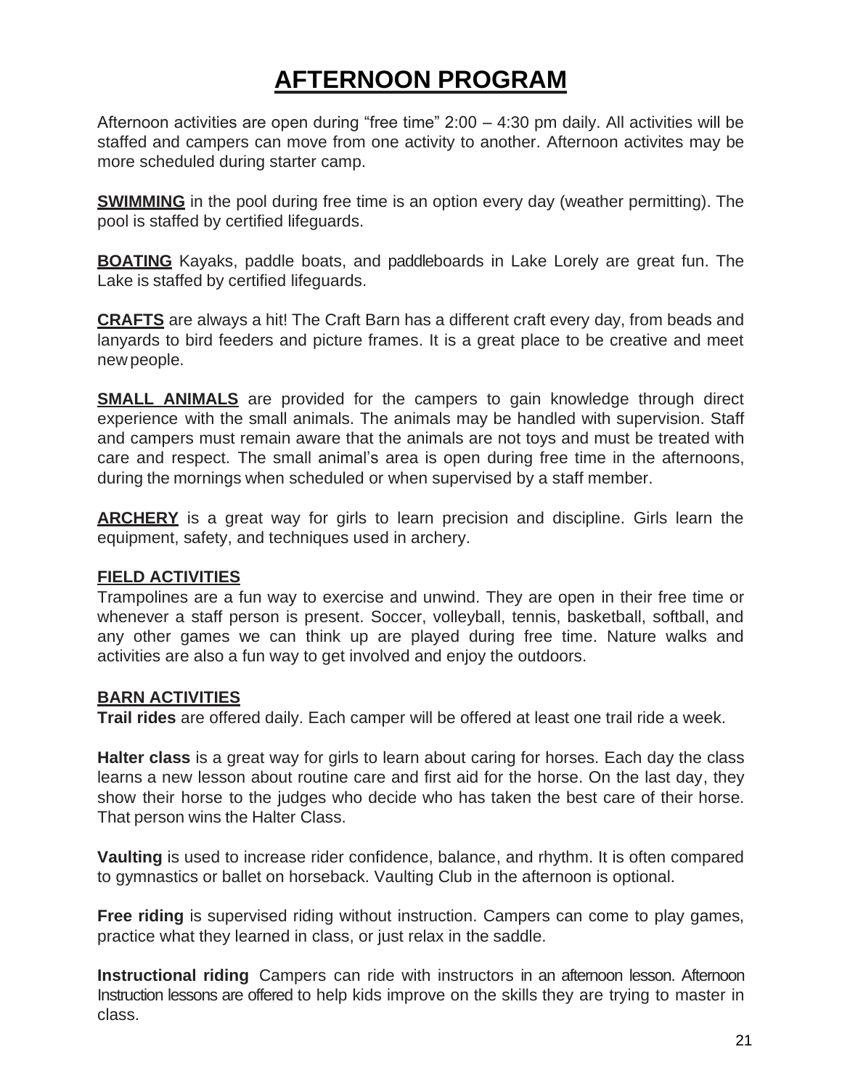# **AFTERNOON PROGRAM**

Afternoon activities are open during "free time" 2:00 – 4:30 pm daily. All activities will be staffed and campers can move from one activity to another. Afternoon activites may be more scheduled during starter camp.

**SWIMMING** in the pool during free time is an option every day (weather permitting). The pool is staffed by certified lifeguards.

**BOATING** Kayaks, paddle boats, and paddleboards in Lake Lorely are great fun. The Lake is staffed by certified lifeguards.

**CRAFTS** are always a hit! The Craft Barn has a different craft every day, from beads and lanyards to bird feeders and picture frames. It is a great place to be creative and meet new people.

**SMALL ANIMALS** are provided for the campers to gain knowledge through direct experience with the small animals. The animals may be handled with supervision. Staff and campers must remain aware that the animals are not toys and must be treated with care and respect. The small animal's area is open during free time in the afternoons, during the mornings when scheduled or when supervised by a staff member.

**ARCHERY** is a great way for girls to learn precision and discipline. Girls learn the equipment, safety, and techniques used in archery.

#### **FIELD ACTIVITIES**

Trampolines are a fun way to exercise and unwind. They are open in their free time or whenever a staff person is present. Soccer, volleyball, tennis, basketball, softball, and any other games we can think up are played during free time. Nature walks and activities are also a fun way to get involved and enjoy the outdoors.

#### **BARN ACTIVITIES**

**Trail rides** are offered daily. Each camper will be offered at least one trail ride a week.

**Halter class** is a great way for girls to learn about caring for horses. Each day the class learns a new lesson about routine care and first aid for the horse. On the last day, they show their horse to the judges who decide who has taken the best care of their horse. That person wins the Halter Class.

**Vaulting** is used to increase rider confidence, balance, and rhythm. It is often compared to gymnastics or ballet on horseback. Vaulting Club in the afternoon is optional.

**Free riding** is supervised riding without instruction. Campers can come to play games, practice what they learned in class, or just relax in the saddle.

**Instructional riding** Campers can ride with instructors in an afternoon lesson. Afternoon Instruction lessons are offered to help kids improve on the skills they are trying to master in class.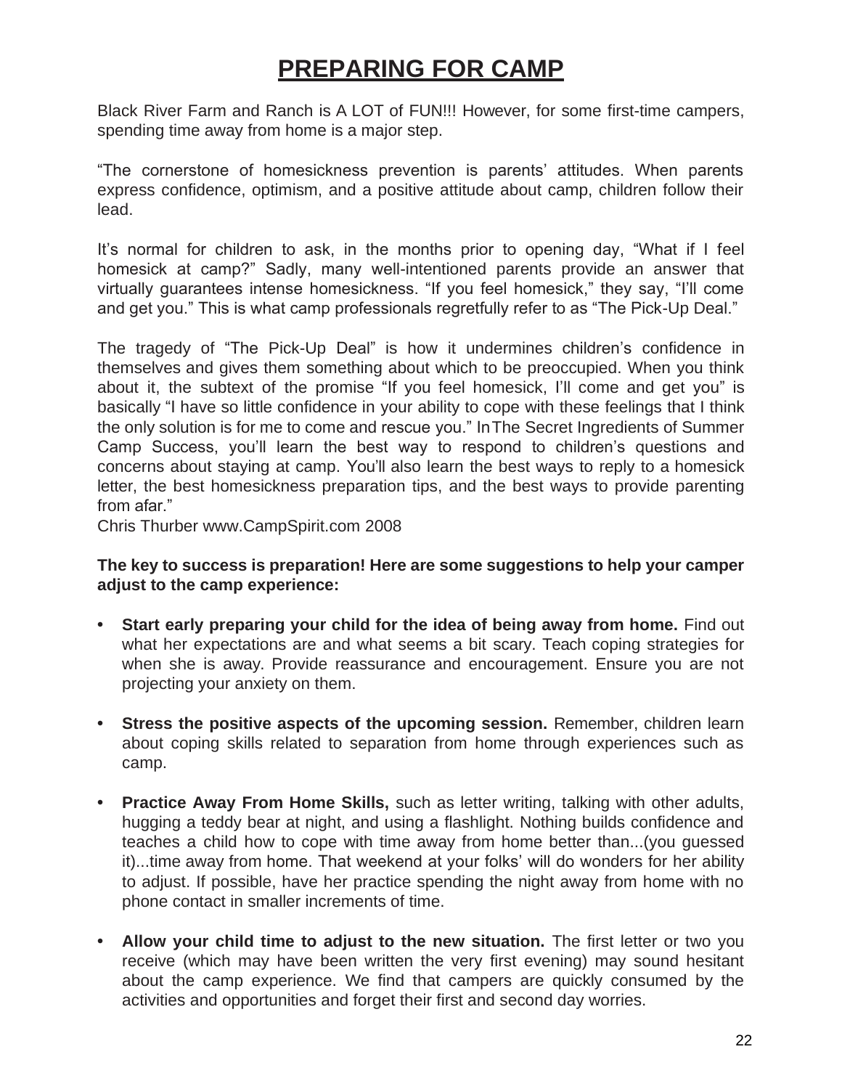# **PREPARING FOR CAMP**

Black River Farm and Ranch is A LOT of FUN!!! However, for some first-time campers, spending time away from home is a major step.

"The cornerstone of homesickness prevention is parents' attitudes. When parents express confidence, optimism, and a positive attitude about camp, children follow their lead.

It's normal for children to ask, in the months prior to opening day, "What if I feel homesick at camp?" Sadly, many well-intentioned parents provide an answer that virtually guarantees intense homesickness. "If you feel homesick," they say, "I'll come and get you." This is what camp professionals regretfully refer to as "The Pick-Up Deal."

The tragedy of "The Pick-Up Deal" is how it undermines children's confidence in themselves and gives them something about which to be preoccupied. When you think about it, the subtext of the promise "If you feel homesick, I'll come and get you" is basically "I have so little confidence in your ability to cope with these feelings that I think the only solution is for me to come and rescue you." InThe Secret Ingredients of Summer Camp Success, you'll learn the best way to respond to children's questions and concerns about staying at camp. You'll also learn the best ways to reply to a homesick letter, the best homesickness preparation tips, and the best ways to provide parenting from afar."

Chris Thurber [www.CampSpirit.com 2](http://www.campspirit.com/)008

#### **The key to success is preparation! Here are some suggestions to help your camper adjust to the camp experience:**

- **• Start early preparing your child for the idea of being away from home.** Find out what her expectations are and what seems a bit scary. Teach coping strategies for when she is away. Provide reassurance and encouragement. Ensure you are not projecting your anxiety on them.
- **•** Stress the positive aspects of the upcoming session. Remember, children learn about coping skills related to separation from home through experiences such as camp.
- **• Practice Away From Home Skills,** such as letter writing, talking with other adults, hugging a teddy bear at night, and using a flashlight. Nothing builds confidence and teaches a child how to cope with time away from home better than...(you guessed it)...time away from home. That weekend at your folks' will do wonders for her ability to adjust. If possible, have her practice spending the night away from home with no phone contact in smaller increments of time.
- Allow your child time to adjust to the new situation. The first letter or two you receive (which may have been written the very first evening) may sound hesitant about the camp experience. We find that campers are quickly consumed by the activities and opportunities and forget their first and second day worries.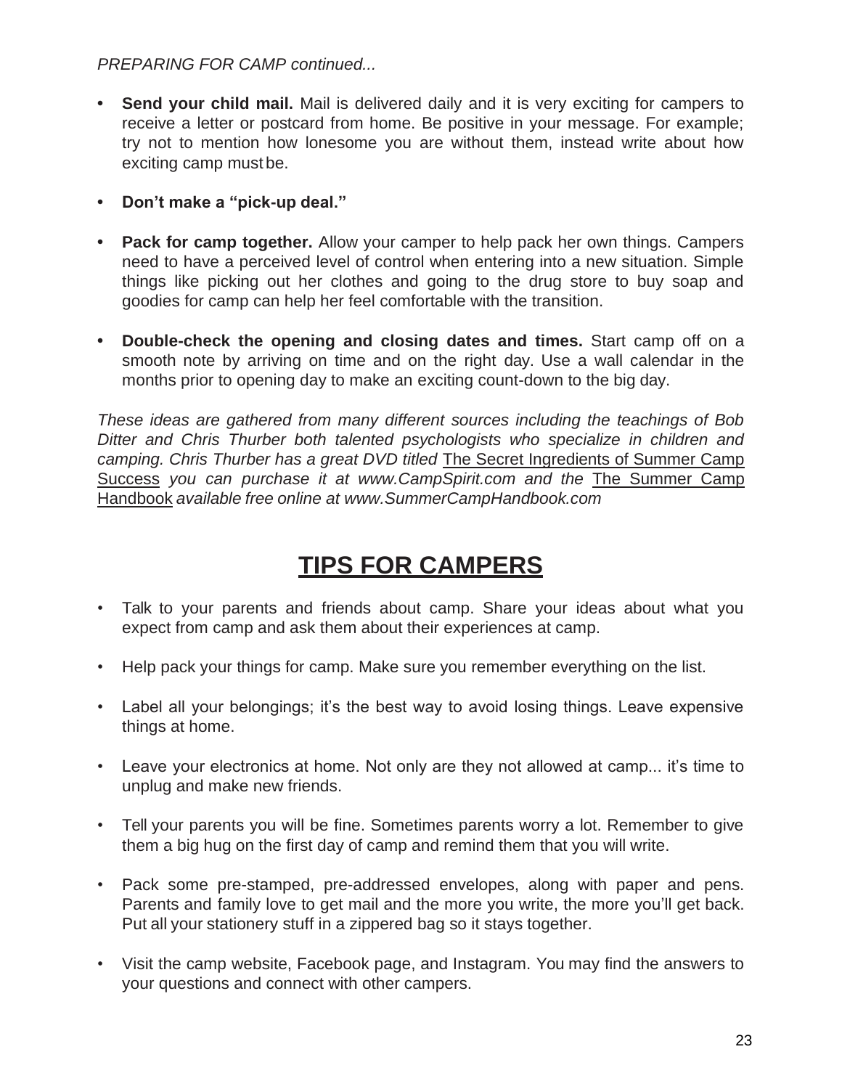*PREPARING FOR CAMP continued...*

- **• Send your child mail.** Mail is delivered daily and it is very exciting for campers to receive a letter or postcard from home. Be positive in your message. For example; try not to mention how lonesome you are without them, instead write about how exciting camp must be.
- **• Don't make a "pick-up deal."**
- **• Pack for camp together.** Allow your camper to help pack her own things. Campers need to have a perceived level of control when entering into a new situation. Simple things like picking out her clothes and going to the drug store to buy soap and goodies for camp can help her feel comfortable with the transition.
- **• Double-check the opening and closing dates and times.** Start camp off on a smooth note by arriving on time and on the right day. Use a wall calendar in the months prior to opening day to make an exciting count-down to the big day.

*These ideas are gathered from many different sources including the teachings of Bob Ditter and Chris Thurber both talented psychologists who specialize in children and camping. Chris Thurber has a great DVD titled* The Secret Ingredients of Summer Camp Success *you can purchase it at [www.CampSpirit.com](http://www.campspirit.com/) and the* The Summer Camp Handbook *available free online at [www.SummerCampHandbook.com](http://www.summercamphandbook.com/)*

## **TIPS FOR CAMPERS**

- Talk to your parents and friends about camp. Share your ideas about what you expect from camp and ask them about their experiences at camp.
- Help pack your things for camp. Make sure you remember everything on the list.
- Label all your belongings; it's the best way to avoid losing things. Leave expensive things at home.
- Leave your electronics at home. Not only are they not allowed at camp... it's time to unplug and make new friends.
- Tell your parents you will be fine. Sometimes parents worry a lot. Remember to give them a big hug on the first day of camp and remind them that you will write.
- Pack some pre-stamped, pre-addressed envelopes, along with paper and pens. Parents and family love to get mail and the more you write, the more you'll get back. Put all your stationery stuff in a zippered bag so it stays together.
- Visit the camp website, Facebook page, and Instagram. You may find the answers to your questions and connect with other campers.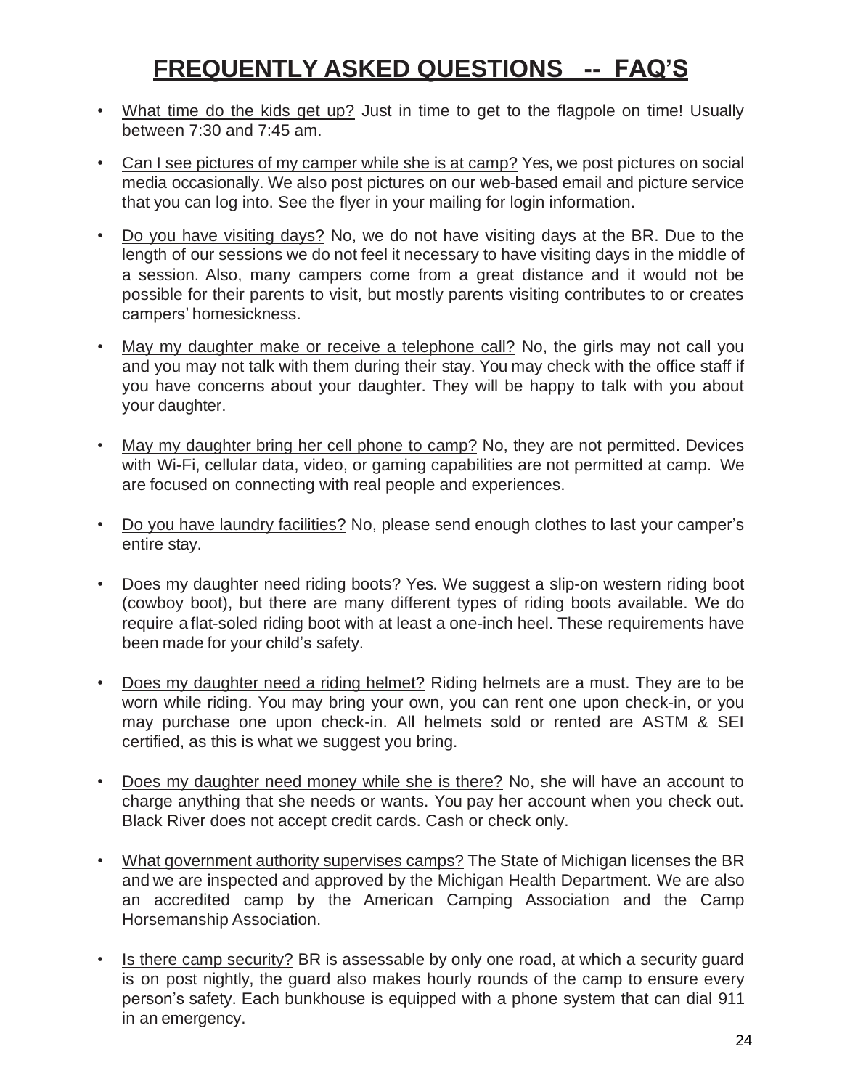# **FREQUENTLY ASKED QUESTIONS -- FAQ'S**

- What time do the kids get up? Just in time to get to the flagpole on time! Usually between 7:30 and 7:45 am.
- Can I see pictures of my camper while she is at camp? Yes, we post pictures on social media occasionally. We also post pictures on our web-based email and picture service that you can log into. See the flyer in your mailing for login information.
- Do you have visiting days? No, we do not have visiting days at the BR. Due to the length of our sessions we do not feel it necessary to have visiting days in the middle of a session. Also, many campers come from a great distance and it would not be possible for their parents to visit, but mostly parents visiting contributes to or creates campers' homesickness.
- May my daughter make or receive a telephone call? No, the girls may not call you and you may not talk with them during their stay. You may check with the office staff if you have concerns about your daughter. They will be happy to talk with you about your daughter.
- May my daughter bring her cell phone to camp? No, they are not permitted. Devices with Wi-Fi, cellular data, video, or gaming capabilities are not permitted at camp. We are focused on connecting with real people and experiences.
- Do you have laundry facilities? No, please send enough clothes to last your camper's entire stay.
- Does my daughter need riding boots? Yes. We suggest a slip-on western riding boot (cowboy boot), but there are many different types of riding boots available. We do require a flat-soled riding boot with at least a one-inch heel. These requirements have been made for your child's safety.
- Does my daughter need a riding helmet? Riding helmets are a must. They are to be worn while riding. You may bring your own, you can rent one upon check-in, or you may purchase one upon check-in. All helmets sold or rented are ASTM & SEI certified, as this is what we suggest you bring.
- Does my daughter need money while she is there? No, she will have an account to charge anything that she needs or wants. You pay her account when you check out. Black River does not accept credit cards. Cash or check only.
- What government authority supervises camps? The State of Michigan licenses the BR and we are inspected and approved by the Michigan Health Department. We are also an accredited camp by the American Camping Association and the Camp Horsemanship Association.
- Is there camp security? BR is assessable by only one road, at which a security guard is on post nightly, the guard also makes hourly rounds of the camp to ensure every person's safety. Each bunkhouse is equipped with a phone system that can dial 911 in an emergency.